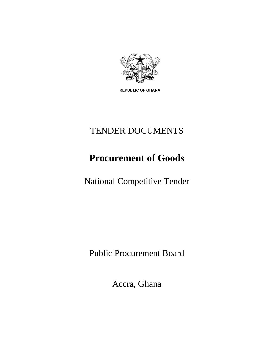

**REPUBLIC OF GHANA** 

# TENDER DOCUMENTS

# **Procurement of Goods**

National Competitive Tender

Public Procurement Board

Accra, Ghana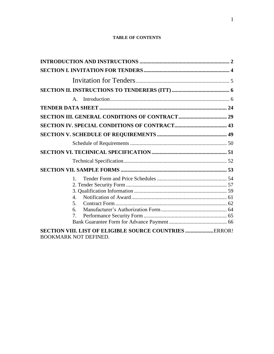#### **TABLE OF CONTENTS**

| $A_{1}$                                                        |  |
|----------------------------------------------------------------|--|
|                                                                |  |
|                                                                |  |
|                                                                |  |
|                                                                |  |
|                                                                |  |
|                                                                |  |
|                                                                |  |
|                                                                |  |
| $1_{-}$                                                        |  |
|                                                                |  |
|                                                                |  |
| $\mathbf{A}_{\cdot}$                                           |  |
| 5.                                                             |  |
| 6.                                                             |  |
| 7 <sub>1</sub>                                                 |  |
|                                                                |  |
| <b>SECTION VIII. LIST OF ELIGIBLE SOURCE COUNTRIES </b> ERROR! |  |
| <b>BOOKMARK NOT DEFINED.</b>                                   |  |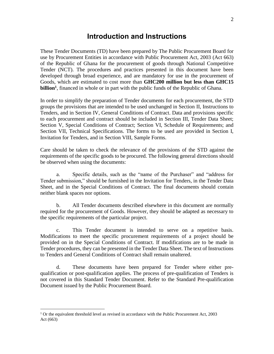## **Introduction and Instructions**

<span id="page-2-0"></span>These Tender Documents (TD) have been prepared by The Public Procurement Board for use by Procurement Entities in accordance with Public Procurement Act, 2003 (Act 663) of the Republic of Ghana for the procurement of goods through National Competitive Tender (NCT). The procedures and practices presented in this document have been developed through broad experience, and are mandatory for use in the procurement of Goods, which are estimated to cost more than **GHC200 million but less than GHC15 billion<sup>1</sup>** , financed in whole or in part with the public funds of the Republic of Ghana.

In order to simplify the preparation of Tender documents for each procurement, the STD groups the provisions that are intended to be used unchanged in Section II, Instructions to Tenders, and in Section IV, General Conditions of Contract. Data and provisions specific to each procurement and contract should be included in Section III, Tender Data Sheet; Section V, Special Conditions of Contract; Section VI, Schedule of Requirements; and Section VII, Technical Specifications. The forms to be used are provided in Section I, Invitation for Tenders, and in Section VIII, Sample Forms.

Care should be taken to check the relevance of the provisions of the STD against the requirements of the specific goods to be procured. The following general directions should be observed when using the documents:

a. Specific details, such as the "name of the Purchaser" and "address for Tender submission," should be furnished in the Invitation for Tenders, in the Tender Data Sheet, and in the Special Conditions of Contract. The final documents should contain neither blank spaces nor options.

b. All Tender documents described elsewhere in this document are normally required for the procurement of Goods. However, they should be adapted as necessary to the specific requirements of the particular project.

c. This Tender document is intended to serve on a repetitive basis. Modifications to meet the specific procurement requirements of a project should be provided on in the Special Conditions of Contract. If modifications are to be made in Tender procedures, they can be presented in the Tender Data Sheet. The text of Instructions to Tenders and General Conditions of Contract shall remain unaltered.

d. These documents have been prepared for Tender where either prequalification or post-qualification applies. The process of pre-qualification of Tenders is not covered in this Standard Tender Document. Refer to the Standard Pre-qualification Document issued by the Public Procurement Board.

 $\overline{a}$ 

 $1$  Or the equivalent threshold level as revised in accordance with the Public Procurement Act, 2003 Act (663)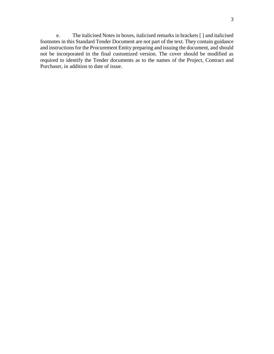e. The italicised Notes in boxes, italicised remarks in brackets [ ] and italicised footnotes in this Standard Tender Document are not part of the text. They contain guidance and instructions for the Procurement Entity preparing and issuing the document, and should not be incorporated in the final customized version. The cover should be modified as required to identify the Tender documents as to the names of the Project, Contract and Purchaser, in addition to date of issue.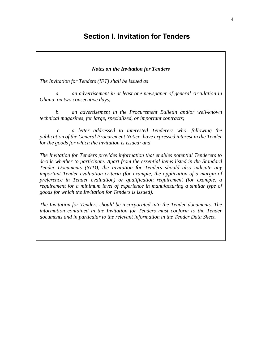## <span id="page-4-0"></span>**Section I. Invitation for Tenders**

### *Notes on the Invitation for Tenders*

*The Invitation for Tenders (IFT) shall be issued as* 

*a. an advertisement in at least one newspaper of general circulation in Ghana on two consecutive days;* 

*b. an advertisement in the Procurement Bulletin and/or well-known technical magazines, for large, specialized, or important contracts;*

*c. a letter addressed to interested Tenderers who, following the publication of the General Procurement Notice, have expressed interest in the Tender for the goods for which the invitation is issued; and* 

*The Invitation for Tenders provides information that enables potential Tenderers to decide whether to participate. Apart from the essential items listed in the Standard Tender Documents (STD), the Invitation for Tenders should also indicate any important Tender evaluation criteria (for example, the application of a margin of preference in Tender evaluation) or qualification requirement (for example, a requirement for a minimum level of experience in manufacturing a similar type of goods for which the Invitation for Tenders is issued).*

*The Invitation for Tenders should be incorporated into the Tender documents. The information contained in the Invitation for Tenders must conform to the Tender documents and in particular to the relevant information in the Tender Data Sheet.*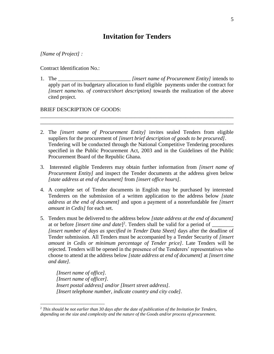## **Invitation for Tenders**

#### <span id="page-5-0"></span>*[Name of Project] :*

 $\overline{a}$ 

Contract Identification No.:

1. The \_\_\_\_\_\_\_\_\_\_\_\_\_\_\_\_\_\_\_\_\_\_\_\_\_\_\_ *[insert name of Procurement Entity]* intends to apply part of its budgetary allocation to fund eligible payments under the contract for *[insert name/no. of contract/short description]* towards the realization of the above cited project*.* 

\_\_\_\_\_\_\_\_\_\_\_\_\_\_\_\_\_\_\_\_\_\_\_\_\_\_\_\_\_\_\_\_\_\_\_\_\_\_\_\_\_\_\_\_\_\_\_\_\_\_\_\_\_\_\_\_\_\_\_\_\_\_\_\_\_\_\_\_\_\_\_\_ \_\_\_\_\_\_\_\_\_\_\_\_\_\_\_\_\_\_\_\_\_\_\_\_\_\_\_\_\_\_\_\_\_\_\_\_\_\_\_\_\_\_\_\_\_\_\_\_\_\_\_\_\_\_\_\_\_\_\_\_\_\_\_\_\_\_\_\_\_\_\_\_

#### BRIEF DESCRIPTION OF GOODS:

- 2. The *[insert name of Procurement Entity]* invites sealed Tenders from eligible suppliers for the procurement of *[insert brief description of goods to be procured]*. Tendering will be conducted through the National Competitive Tendering procedures specified in the Public Procurement Act, 2003 and in the Guidelines of the Public Procurement Board of the Republic Ghana.
- 3. Interested eligible Tenderers may obtain further information from *[insert name of Procurement Entity]* and inspect the Tender documents at the address given below *[state address at end of document]* from *[insert office hours].*
- 4. A complete set of Tender documents in English may be purchased by interested Tenderers on the submission of a written application to the address below *[state address at the end of document]* and upon a payment of a nonrefundable fee *[insert amount in Cedis]* for each set.
- 5. Tenders must be delivered to the address below *[state address at the end of document]*  at or before *[insert time and date]*<sup>2</sup>. Tenders shall be valid for a period of  $\_\_\_\_\_\_\_\_\$ *[insert number of days as specified in Tender Data Sheet]* days after the deadline of Tender submission. All Tenders must be accompanied by a Tender Security of *[insert amount in Cedis or minimum percentage of Tender price]*. Late Tenders will be rejected. Tenders will be opened in the presence of the Tenderers' representatives who choose to attend at the address below *[state address at end of document]* at *[insert time and date].*

*[Insert name of office]. [Insert name of officer]. Insert postal address] and/or [Insert street address]. [Insert telephone number, indicate country and city code].*

<sup>2</sup> *This should be not earlier than 30 days after the date of publication of the Invitation for Tenders, depending on the size and complexity and the nature of the Goods and/or process of procurement.*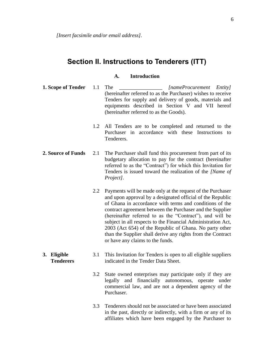## <span id="page-6-0"></span>**Section II. Instructions to Tenderers (ITT)**

### **A. Introduction**

- <span id="page-6-1"></span>**1. Scope of Tender** 1.1 The *InameProcurement Entity [nameProcurement Entity]* (hereinafter referred to as the Purchaser) wishes to receive Tenders for supply and delivery of goods, materials and equipments described in Section V and VII hereof (hereinafter referred to as the Goods).
	- 1.2 All Tenders are to be completed and returned to the Purchaser in accordance with these Instructions to Tenderers.
- **2. Source of Funds** 2.1 The Purchaser shall fund this procurement from part of its budgetary allocation to pay for the contract (hereinafter referred to as the "Contract") for which this Invitation for Tenders is issued toward the realization of the *[Name of Project].*
	- 2.2 Payments will be made only at the request of the Purchaser and upon approval by a designated official of the Republic of Ghana in accordance with terms and conditions of the contract agreement between the Purchaser and the Supplier (hereinafter referred to as the "Contract"), and will be subject in all respects to the Financial Administration Act, 2003 (Act 654) of the Republic of Ghana. No party other than the Supplier shall derive any rights from the Contract or have any claims to the funds.
- **3. Eligible Tenderers** 3.1 This Invitation for Tenders is open to all eligible suppliers indicated in the Tender Data Sheet.
	- 3.2 State owned enterprises may participate only if they are legally and financially autonomous, operate under commercial law, and are not a dependent agency of the Purchaser.
	- 3.3 Tenderers should not be associated or have been associated in the past, directly or indirectly, with a firm or any of its affiliates which have been engaged by the Purchaser to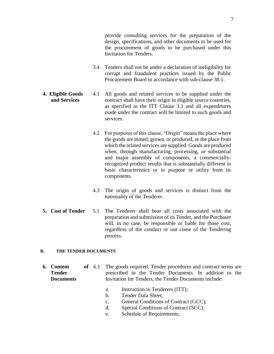- 3.4 Tenders shall not be under a declaration of ineligibility for corrupt and fraudulent practices issued by the Public Procurement Board in accordance with sub-clause 38.1.
- **4. Eligible Goods and Services** 4.1 All goods and related services to be supplied under the contract shall have their origin in eligible source countries, as specified in the ITT Clause 3.1 and all expenditures made under the contract will be limited to such goods and services.

Invitation for Tenders.

- 4.2 For purposes of this clause, "Origin" means the place where the goods are mined, grown, or produced, or the place from which the related services are supplied. Goods are produced when, through manufacturing, processing, or substantial and major assembly of components, a commerciallyrecognized product results that is substantially different in basic characteristics or in purpose or utility from its components.
- 4.3 The origin of goods and services is distinct from the nationality of the Tenderer.
- **5. Cost of Tender** 5.1 The Tenderer shall bear all costs associated with the preparation and submission of its Tender, and the Purchaser will, in no case, be responsible or liable for those cost, regardless of the conduct or out come of the Tendering process.

#### **B. THE TENDER DOCUMENTS**

- **6. Content of Tender Documents** The goods required, Tender procedures and contract terms are prescribed in the Tender Documents. In addition to the Invitation for Tenders, the Tender Documents include:
	- a. Instruction to Tenderers (ITT);
	- b. Tender Data Sheet;
	- c. General Conditions of Contract (GCC);
	- d. Special Conditions of Contract (SCC);
	- e. Schedule of Requirements;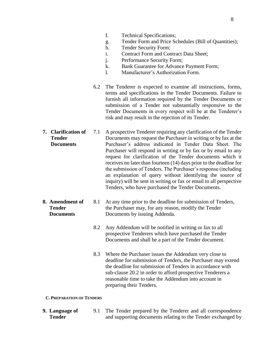- f. Technical Specifications;
- g. Tender Form and Price Schedules (Bill of Quantities);
- h. Tender Security Form;
- i. Contract Form and Contract Data Sheet;
- j. Performance Security Form;
- k. Bank Guarantee for Advance Payment Form;
- l. Manufacturer's Authorization Form.
- 6.2 The Tenderer is expected to examine all instructions, forms, terms and specifications in the Tender Documents. Failure to furnish all information required by the Tender Documents or submission of a Tender not substantially responsive to the Tender Documents in every respect will be at the Tenderer's risk and may result in the rejection of its Tender.
- **7. Clarification of Tender Documents** 7.1 A prospective Tenderer requiring any clarification of the Tender Documents may request the Purchaser in writing or by fax at the Purchaser's address indicated in Tender Data Sheet. The Purchaser will respond in writing or by fax or by email to any request for clarification of the Tender documents which it receives no later than fourteen (14) days prior to the deadline for the submission of Tenders. The Purchaser's response (including an explanation of query without identifying the source of inquiry) will be sent in writing or fax or email to all perspective Tenders, who have purchased the Tender Documents.
- **8. Amendment of Tender Documents** 8.1 At any time prior to the deadline for submission of Tenders, the Purchaser may, for any reason, modify the Tender Documents by issuing Addenda.
	- 8.2 Any Addendum will be notified in writing or fax to all prospective Tenderers which have purchased the Tender Documents and shall be a part of the Tender document.
	- 8.3 Where the Purchaser issues the Addendum very close to deadline for submission of Tenders, the Purchaser may extend the deadline for submission of Tenders in accordance with sub-clause 20.2 in order to afford prospective Tenderers a reasonable time to take the Addendum into account in preparing their Tenders.

#### **C. PREPARATION OF TENDERS**

**9. Language of Tender** 9.1 The Tender prepared by the Tenderer and all correspondence and supporting documents relating to the Tender exchanged by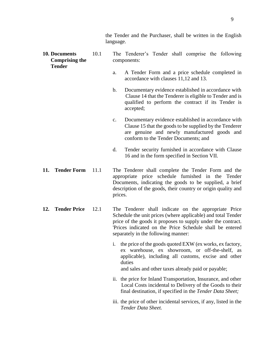| 10. Documents<br><b>Comprising the</b><br><b>Tender</b> | 10.1 | The Tenderer's Tender shall comprise the following<br>components:                                                                                                                                                                                                                       |
|---------------------------------------------------------|------|-----------------------------------------------------------------------------------------------------------------------------------------------------------------------------------------------------------------------------------------------------------------------------------------|
|                                                         |      | A Tender Form and a price schedule completed in<br>a.<br>accordance with clauses 11,12 and 13.                                                                                                                                                                                          |
|                                                         |      | Documentary evidence established in accordance with<br>$\mathbf{b}$ .<br>Clause 14 that the Tenderer is eligible to Tender and is<br>qualified to perform the contract if its Tender is<br>accepted;                                                                                    |
|                                                         |      | Documentary evidence established in accordance with<br>$\mathbf{c}$ .<br>Clause 15 that the goods to be supplied by the Tenderer<br>are genuine and newly manufactured goods and<br>conform to the Tender Documents; and                                                                |
|                                                         |      | d.<br>Tender security furnished in accordance with Clause<br>16 and in the form specified in Section VII.                                                                                                                                                                               |
| <b>Tender Form</b><br>11.                               | 11.1 | The Tenderer shall complete the Tender Form and the<br>appropriate price schedule furnished in the Tender<br>Documents, indicating the goods to be supplied, a brief<br>description of the goods, their country or origin quality and<br>prices.                                        |
| <b>Tender Price</b><br>12.                              | 12.1 | The Tenderer shall indicate on the appropriate Price<br>Schedule the unit prices (where applicable) and total Tender<br>price of the goods it proposes to supply under the contract.<br>'Prices indicated on the Price Schedule shall be entered<br>separately in the following manner: |
|                                                         |      | i. the price of the goods quoted EXW (ex works, ex factory,<br>ex warehouse, ex showroom, or off-the-shelf, as<br>applicable), including all customs, excise and other<br>duties<br>and sales and other taxes already paid or payable;                                                  |
|                                                         |      | ii. the price for Inland Transportation, Insurance, and other<br>Local Costs incidental to Delivery of the Goods to their<br>final destination, if specified in the Tender Data Sheet;                                                                                                  |
|                                                         |      | iii. the price of other incidental services, if any, listed in the                                                                                                                                                                                                                      |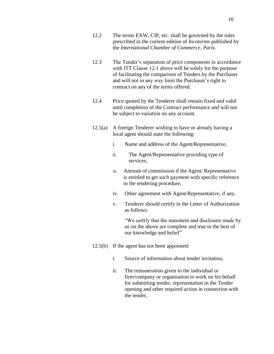- 12.2 The terms EXW, CIP, etc. shall be governed by the rules prescribed in the current edition of *Incoterms* published by the *International Chamber of Commerce, Paris.*
- 12.3 The Tender's separation of price components in accordance with ITT Clause 12.1 above will be solely for the purpose of facilitating the comparison of Tenders by the Purchaser and will not in any way limit the Purchaser's right to contract on any of the terms offered.
- 12.4 Price quoted by the Tenderer shall remain fixed and valid until completion of the Contract performance and will not be subject to variation on any account.
- 12.5(a) A foreign Tenderer wishing to have or already having a local agent should state the following:
	- i. Name and address of the Agent/Representative,
	- ii. The Agent/Representative providing type of services,
	- iii. Amount of commission if the Agent/ Representative is entitled to get such payment with specific reference to the tendering procedure,
	- iv. Other agreement with Agent/Representative, if any,
	- v. Tenderer should certify in the Letter of Authorization as follows:

"We certify that the statement and disclosure made by us on the above are complete and true to the best of our knowledge and belief"

- 12.5(b) If the agent has not been appointed:
	- i. Source of information about tender invitation,
	- ii. The remuneration given to the individual or firm/company or organisation to work on his behalf for submitting tender, representation in the Tender opening and other required action in connection with the tender,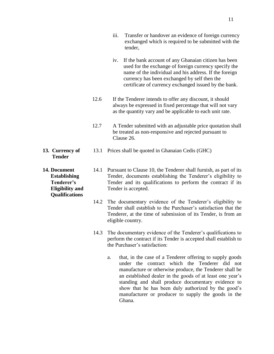- iii. Transfer or handover an evidence of foreign currency exchanged which is required to be submitted with the tender,
- iv. If the bank account of any Ghanaian citizen has been used for the exchange of foreign currency specify the name of the individual and his address. If the foreign currency has been exchanged by self then the certificate of currency exchanged issued by the bank.
- 12.6 If the Tenderer intends to offer any discount, it should always be expressed in fixed percentage that will not vary as the quantity vary and be applicable to each unit rate.
- 12.7 A Tender submitted with an adjustable price quotation shall be treated as non-responsive and rejected pursuant to Clause 26.
- **13. Currency of Tender**  13.1 Prices shall be quoted in Ghanaian Cedis (GHC)

**14. Document Establishing Tenderer's Eligibility and Qualifications**

- 14.1 Pursuant to Clause 10, the Tenderer shall furnish, as part of its Tender, documents establishing the Tenderer's eligibility to Tender and its qualifications to perform the contract if its Tender is accepted.
- 14.2 The documentary evidence of the Tenderer's eligibility to Tender shall establish to the Purchaser's satisfaction that the Tenderer, at the time of submission of its Tender, is from an eligible country.
- 14.3 The documentary evidence of the Tenderer's qualifications to perform the contract if its Tender is accepted shall establish to the Purchaser's satisfaction:
	- a. that, in the case of a Tenderer offering to supply goods under the contract which the Tenderer did not manufacture or otherwise produce, the Tenderer shall be an established dealer in the goods of at least one year's standing and shall produce documentary evidence to show that he has been duly authorized by the good's manufacturer or producer to supply the goods in the Ghana.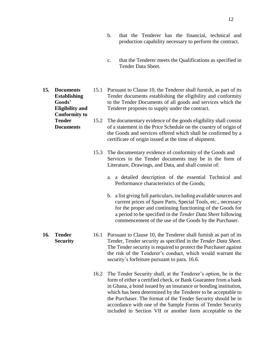- b. that the Tenderer has the financial, technical and production capability necessary to perform the contract.
- c. that the Tenderer meets the Qualifications as specified in Tender Data Sheet.
- **15. Documents Establishing Goods' Eligibility and Conformity to**  15.1 Pursuant to Clause 10, the Tenderer shall furnish, as part of its Tender documents establishing the eligibility and conformity to the Tender Documents of all goods and services which the Tenderer proposes to supply under the contract.
	- **Tender Documents** 15.2 The documentary evidence of the goods eligibility shall consist of a statement in the Price Schedule on the country of origin of the Goods and services offered which shall be confirmed by a certificate of origin issued at the time of shipment.
		- 15.3 The documentary evidence of conformity of the Goods and Services to the Tender documents may be in the form of Literature, Drawings, and Data, and shall consist of:
			- a. a detailed description of the essential Technical and Performance characteristics of the Goods;
			- b. a list giving full particulars, including available sources and current prices of Spare Parts, Special Tools, etc., necessary for the proper and continuing functioning of the Goods for a period to be specified in the *Tender Data Sheet* following commencement of the use of the Goods by the Purchaser.
		- 16.1 Pursuant to Clause 10, the Tenderer shall furnish as part of its Tender, Tender security as specified in the *Tender Data Sheet*. The Tender security is required to protect the Purchaser against the risk of the Tenderer's conduct, which would warrant the security's forfeiture pursuant to para. 16.6.
			- 16.2 The Tender Security shall, at the Tenderer's option, be in the form of either a certified check, or Bank Guarantee from a bank in Ghana, a bond issued by an insurance or bonding institution, which has been determined by the Tenderer to be acceptable to the Purchaser. The format of the Tender Security should be in accordance with one of the Sample Forms of Tender Security included in Section VII or another form acceptable to the
- **16. Tender Security**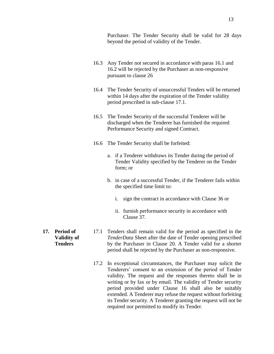Purchaser. The Tender Security shall be valid for 28 days beyond the period of validity of the Tender.

- 16.3 Any Tender not secured in accordance with paras 16.1 and 16.2 will be rejected by the Purchaser as non-responsive pursuant to clause 26
- 16.4 The Tender Security of unsuccessful Tenders will be returned within 14 days after the expiration of the Tender validity period prescribed in sub-clause 17.1.
- 16.5 The Tender Security of the successful Tenderer will be discharged when the Tenderer has furnished the required Performance Security and signed Contract.
- 16.6 The Tender Security shall be forfeited:
	- a. if a Tenderer withdraws its Tender during the period of Tender Validity specified by the Tenderer on the Tender form; or
	- b. in case of a successful Tender, if the Tenderer fails within the specified time limit to:
		- i. sign the contract in accordance with Clause 36 or
		- ii. furnish performance security in accordance with Clause 37.
- **17. Period of Validity of Tenders**
- 17.1 Tenders shall remain valid for the period as specified in the *TenderData* Sheet after the date of Tender opening prescribed by the Purchaser in Clause 20. A Tender valid for a shorter period shall be rejected by the Purchaser as non-responsive.
	- 17.2 In exceptional circumstances, the Purchaser may solicit the Tenderers' consent to an extension of the period of Tender validity. The request and the responses thereto shall be in writing or by fax or by email. The validity of Tender security period provided under Clause 16 shall also be suitably extended. A Tenderer may refuse the request without forfeiting its Tender security. A Tenderer granting the request will not be required nor permitted to modify its Tender.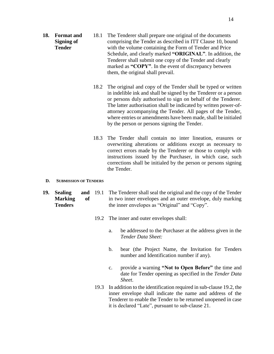- **18. Format and Signing of Tender** 18.1 The Tenderer shall prepare one original of the documents comprising the Tender as described in ITT Clause 10, bound with the volume containing the Form of Tender and Price Schedule, and clearly marked **"ORIGINAL"**. In addition, the Tenderer shall submit one copy of the Tender and clearly marked as **"COPY"**. In the event of discrepancy between them, the original shall prevail.
	- 18.2 The original and copy of the Tender shall be typed or written in indelible ink and shall be signed by the Tenderer or a person or persons duly authorised to sign on behalf of the Tenderer. The latter authorisation shall be indicated by written power-ofattorney accompanying the Tender. All pages of the Tender, where entries or amendments have been made, shall be initialed by the person or persons signing the Tender.
	- 18.3 The Tender shall contain no inter lineation, erasures or overwriting alterations or additions except as necessary to correct errors made by the Tenderer or those to comply with instructions issued by the Purchaser, in which case, such corrections shall be initialed by the person or persons signing the Tender.

#### **D. SUBMISSION OF TENDERS**

- **19. Sealing and Marking of Tenders** 19.1 The Tenderer shall seal the original and the copy of the Tender in two inner envelopes and an outer envelope, duly marking the inner envelopes as "Original" and "Copy".
	- 19.2 The inner and outer envelopes shall:
		- a. be addressed to the Purchaser at the address given in the *Tender Data Sheet:*
		- b. bear (the Project Name, the Invitation for Tenders number and Identification number if any).
		- c. provide a warning **"Not to Open Before"** the time and date for Tender opening as specified in the *Tender Data Sheet*.
	- 19.3 In addition to the identification required in sub-clause 19.2, the inner envelope shall indicate the name and address of the Tenderer to enable the Tender to be returned unopened in case it is declared "Late", pursuant to sub-clause 21.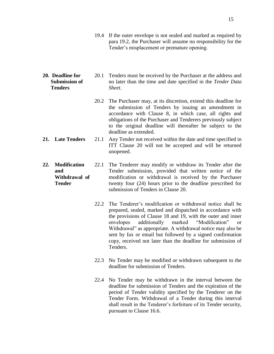- 19.4 If the outer envelope is not sealed and marked as required by para 19.2, the Purchaser will assume no responsibility for the Tender's misplacement or premature opening.
- **20. Deadline for Submission of Tenders** 20.1 Tenders must be received by the Purchaser at the address and no later than the time and date specified in the *Tender Data Sheet*.
	- 20.2 The Purchaser may, at its discretion, extend this deadline for the submission of Tenders by issuing an amendment in accordance with Clause 8, in which case, all rights and obligations of the Purchaser and Tenderers previously subject to the original deadline will thereafter be subject to the deadline as extended.
- **21. Late Tenders** 21.1 Any Tender not received within the date and time specified in ITT Clause 20 will not be accepted and will be returned unopened.
- **22. Modification and Withdrawal of Tender** 22.1 The Tenderer may modify or withdraw its Tender after the Tender submission, provided that written notice of the modification or withdrawal is received by the Purchaser twenty four (24) hours prior to the deadline prescribed for submission of Tenders in Clause 20.
	- 22.2 The Tenderer's modification or withdrawal notice shall be prepared, sealed, marked and dispatched in accordance with the provisions of Clause 18 and 19, with the outer and inner envelopes additionally marked "Modification" or Withdrawal" as appropriate. A withdrawal notice may also be sent by fax or email but followed by a signed confirmation copy, received not later than the deadline for submission of Tenders.
	- 22.3 No Tender may be modified or withdrawn subsequent to the deadline for submission of Tenders.
	- 22.4 No Tender may be withdrawn in the interval between the deadline for submission of Tenders and the expiration of the period of Tender validity specified by the Tenderer on the Tender Form. Withdrawal of a Tender during this interval shall result in the Tenderer's forfeiture of its Tender security, pursuant to Clause 16.6.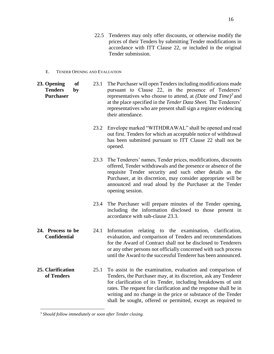- 22.5 Tenderers may only offer discounts, or otherwise modify the prices of their Tenders by submitting Tender modifications in accordance with ITT Clause 22, or included in the original Tender submission.
- E. TENDER OPENING AND EVALUATION
- **23. Opening of Tenders by Purchaser** 23.1 The Purchaser will open Tenders including modifications made pursuant to Clause 22, in the presence of Tenderers' representatives who choose to attend, at *(Date and Time)<sup>3</sup>* and at the place specified in the *Tender Data Sheet.* The Tenderers' representatives who are present shall sign a register evidencing their attendance. 23.2 Envelope marked "WITHDRAWAL" shall be opened and read out first. Tenders for which an acceptable notice of withdrawal has been submitted pursuant to ITT Clause 22 shall not be opened. 23.3 The Tenderers' names, Tender prices, modifications, discounts offered, Tender withdrawals and the presence or absence of the requisite Tender security and such other details as the Purchaser, at its discretion, may consider appropriate will be announced and read aloud by the Purchaser at the Tender opening session. 23.4 The Purchaser will prepare minutes of the Tender opening, including the information disclosed to those present in accordance with sub-clause 23.3. **24. Process to be Confidential** 24.1 Information relating to the examination, clarification, evaluation, and comparison of Tenders and recommendations for the Award of Contract shall not be disclosed to Tenderers or any other persons not officially concerned with such process until the Award to the successful Tenderer has been announced. **25. Clarification of Tenders** 25.1 To assist in the examination, evaluation and comparison of Tenders, the Purchaser may, at its discretion, ask any Tenderer for clarification of its Tender, including breakdowns of unit rates. The request for clarification and the response shall be in writing and no change in the price or substance of the Tender shall be sought, offered or permitted, except as required to

 $\overline{a}$ 

<sup>3</sup> *Should follow immediately or soon after Tender closing.*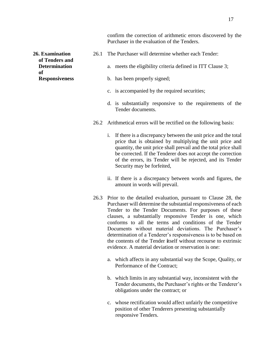confirm the correction of arithmetic errors discovered by the Purchaser in the evaluation of the Tenders.

- 26.1 The Purchaser will determine whether each Tender:
	- a. meets the eligibility criteria defined in ITT Clause 3;
	- b. has been properly signed;
	- c. is accompanied by the required securities;
	- d. is substantially responsive to the requirements of the Tender documents.
- 26.2 Arithmetical errors will be rectified on the following basis:
	- i. If there is a discrepancy between the unit price and the total price that is obtained by multiplying the unit price and quantity, the unit price shall prevail and the total price shall be corrected. If the Tenderer does not accept the correction of the errors, its Tender will be rejected, and its Tender Security may be forfeited,
	- ii. If there is a discrepancy between words and figures, the amount in words will prevail.
- 26.3 Prior to the detailed evaluation, pursuant to Clause 28, the Purchaser will determine the substantial responsiveness of each Tender to the Tender Documents. For purposes of these clauses, a substantially responsive Tender is one, which conforms to all the terms and conditions of the Tender Documents without material deviations. The Purchaser's determination of a Tenderer's responsiveness is to be based on the contents of the Tender **i**tself without recourse to extrinsic evidence. A material deviation or reservation is one:
	- a. which affects in any substantial way the Scope, Quality, or Performance of the Contract;
	- b. which limits in any substantial way, inconsistent with the Tender documents, the Purchaser's rights or the Tenderer's obligations under the contract; or
	- c. whose rectification would affect unfairly the competitive position of other Tenderers presenting substantially responsive Tenders.

**26. Examination of Tenders and Determination of Responsiveness**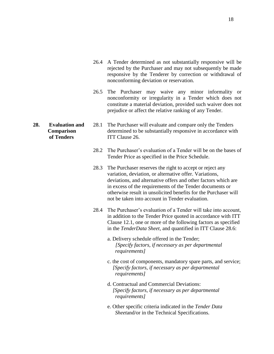- 26.4 A Tender determined as not substantially responsive will be rejected by the Purchaser and may not subsequently be made responsive by the Tenderer by correction or withdrawal of nonconforming deviation or reservation.
- 26.5 The Purchaser may waive any minor informality or nonconformity or irregularity in a Tender which does not constitute a material deviation, provided such waiver does not prejudice or affect the relative ranking of any Tender.
- **Comparison of Tenders** 28.1 The Purchaser will evaluate and compare only the Tenders determined to be substantially responsive in accordance with ITT Clause 26.
	- 28.2 The Purchaser's evaluation of a Tender will be on the bases of Tender Price as specified in the Price Schedule.
	- 28.3 The Purchaser reserves the right to accept or reject any variation, deviation, or alternative offer. Variations, deviations, and alternative offers and other factors which are in excess of the requirements of the Tender documents or otherwise result in unsolicited benefits for the Purchaser will not be taken into account in Tender evaluation.
	- 28.4 The Purchaser's evaluation of a Tender will take into account, in addition to the Tender Price quoted in accordance with ITT Clause 12.1, one or more of the following factors as specified in the *TenderData Sheet*, and quantified in ITT Clause 28.6:
		- a. Delivery schedule offered in the Tender;  *[Specify factors, if necessary as per departmental requirements]*
		- c. the cost of components, mandatory spare parts, and service;  *[Specify factors, if necessary as per departmental requirements]*
		- d. Contractual and Commercial Deviations:  *[Specify factors, if necessary as per departmental requirements]*
		- e. Other specific criteria indicated in the *Tender Data Sheet*and/or in the Technical Specifications.

**28. Evaluation and**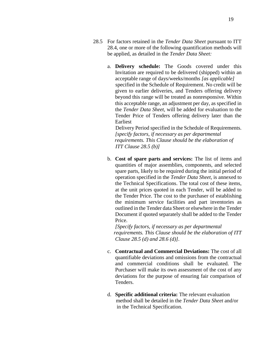- 28.5 For factors retained in the *Tender Data Sheet* pursuant to ITT 28.4, one or more of the following quantification methods will be applied, as detailed in the *Tender Data Sheet:*
	- a. **Delivery schedule:** The Goods covered under this Invitation are required to be delivered (shipped) within an acceptable range of days/weeks/months *[as applicable]* specified in the Schedule of Requirement. No credit will be given to earlier deliveries, and Tenders offering delivery beyond this range will be treated as nonresponsive. Within this acceptable range, an adjustment per day, as specified in the *Tender Data Sheet*, will be added for evaluation to the Tender Price of Tenders offering delivery later than the Earliest

 Delivery Period specified in the Schedule of Requirements. *[specify factors, if necessary as per departmental requirements. This Clause should be the elaboration of ITT Clause 28.5 (b)]*

b. **Cost of spare parts and services:** The list of items and quantities of major assemblies, components, and selected spare parts, likely to be required during the initial period of operation specified in the *Tender Data Sheet,* is annexed to the Technical Specifications. The total cost of these items, at the unit prices quoted in each Tender, will be added to the Tender Price. The cost to the purchaser of establishing the minimum service facilities and part inventories as outlined in the Tender data Sheet or elsewhere in the Tender Document if quoted separately shall be added to the Tender Price.

*[Specify factors, if necessary as per departmental requirements. This Clause should be the elaboration of ITT Clause 28.5 (d) and 28.6 (d)].*

- c. **Contractual and Commercial Deviations:** The cost of all quantifiable deviations and omissions from the contractual and commercial conditions shall be evaluated. The Purchaser will make its own assessment of the cost of any deviations for the purpose of ensuring fair comparison of Tenders.
- d. **Specific additional criteria:** The relevant evaluation method shall be detailed in the *Tender Data Sheet* and/or in the Technical Specification.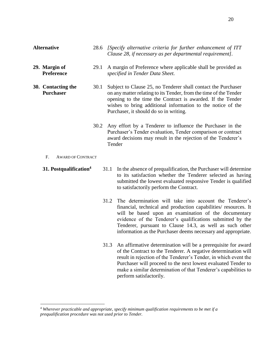| <b>Alternative</b>                     | 28.6 | [Specify alternative criteria for further enhancement of ITT]<br>Clause 28, if necessary as per departmental requirement].                                                                                                                                                                                |
|----------------------------------------|------|-----------------------------------------------------------------------------------------------------------------------------------------------------------------------------------------------------------------------------------------------------------------------------------------------------------|
| 29. Margin of<br>Preference            | 29.1 | A margin of Preference where applicable shall be provided as<br>specified in Tender Data Sheet.                                                                                                                                                                                                           |
| 30. Contacting the<br><b>Purchaser</b> | 30.1 | Subject to Clause 25, no Tenderer shall contact the Purchaser<br>on any matter relating to its Tender, from the time of the Tender<br>opening to the time the Contract is awarded. If the Tender<br>wishes to bring additional information to the notice of the<br>Purchaser, it should do so in writing. |
|                                        | 30.2 | Any effort by a Tenderer to influence the Purchaser in the<br>Purchaser's Tender evaluation, Tender comparison or contract<br>award decisions may result in the rejection of the Tenderer's                                                                                                               |

Tender

F. AWARD OF CONTRACT

 $\overline{a}$ 

- **31. Postqualification<sup>4</sup>** 31.1 In the absence of prequalification, the Purchaser will determine to its satisfaction whether the Tenderer selected as having submitted the lowest evaluated responsive Tender is qualified to satisfactorily perform the Contract.
	- 31.2 The determination will take into account the Tenderer's financial, technical and production capabilities/ resources. It will be based upon an examination of the documentary evidence of the Tenderer's qualifications submitted by the Tenderer, pursuant to Clause 14.3, as well as such other information as the Purchaser deems necessary and appropriate.
	- 31.3 An affirmative determination will be a prerequisite for award of the Contract to the Tenderer. A negative determination will result in rejection of the Tenderer's Tender, in which event the Purchaser will proceed to the next lowest evaluated Tender to make a similar determination of that Tenderer's capabilities to perform satisfactorily.

<sup>4</sup> *Wherever practicable and appropriate, specify minimum qualification requirements to be met if a prequalification procedure was not used prior to Tender.*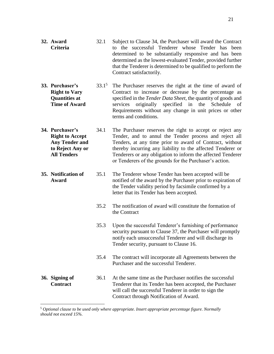- **32. Award Criteria**  32.1 Subject to Clause 34, the Purchaser will award the Contract to the successful Tenderer whose Tender has been determined to be substantially responsive and has been determined as the lowest-evaluated Tender, provided further that the Tenderer is determined to be qualified to perform the Contract satisfactorily.
- **33. Purchaser's Right to Vary Quantities at Time of Award**  $33.1<sup>5</sup>$  The Purchaser reserves the right at the time of award of Contract to increase or decrease by the percentage as specified in the *Tender Data Sheet,* the quantity of goods and services originally specified in the Schedule of Requirements without any change in unit prices or other terms and conditions.
- **34. Purchaser's Right to Accept Any Tender and to Reject Any or All Tenders** 34.1 The Purchaser reserves the right to accept or reject any Tender, and to annul the Tender process and reject all Tenders, at any time prior to award of Contract, without thereby incurring any liability to the affected Tenderer or Tenderers or any obligation to inform the affected Tenderer or Tenderers of the grounds for the Purchaser's action.
- **35. Notification of Award** 35.1 The Tenderer whose Tender has been accepted will be notified of the award by the Purchaser prior to expiration of the Tender validity period by facsimile confirmed by a letter that its Tender has been accepted.
	- 35.2 The notification of award will constitute the formation of the Contract
	- 35.3 Upon the successful Tenderer's furnishing of performance security pursuant to Clause 37, the Purchaser will promptly notify each unsuccessful Tenderer and will discharge its Tender security, pursuant to Clause 16.
	- 35.4 The contract will incorporate all Agreements between the Purchaser and the successful Tenderer.
- **36. Signing of Contract** 36.1 At the same time as the Purchaser notifies the successful Tenderer that its Tender has been accepted, the Purchaser will call the successful Tenderer in order to sign the Contract through Notification of Award.

 $\overline{a}$ 

<sup>5</sup> *Optional clause to be used only where appropriate. Insert appropriate percentage figure. Normally should not exceed 15%.*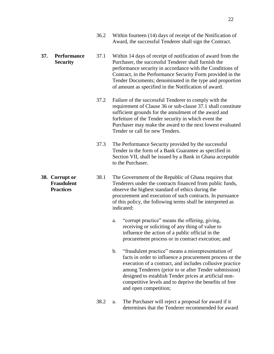- 36.2 Within fourteen (14) days of receipt of the Notification of Award, the successful Tenderer shall sign the Contract.
- **37. Performance Security** 37.1 Within 14 days of receipt of notification of award from the Purchaser, the successful Tenderer shall furnish the performance security in accordance with the Conditions of Contract, in the Performance Security Form provided in the Tender Documents; denominated in the type and proportion of amount as specified in the Notification of award.

**38. Corrupt or Fraudulent Practices**

- 37.2 Failure of the successful Tenderer to comply with the requirement of Clause 36 or sub-clause 37.1 shall constitute sufficient grounds for the annulment of the award and forfeiture of the Tender security in which event the Purchaser may make the award to the next lowest evaluated Tender or call for new Tenders.
- 37.3 The Performance Security provided by the successful Tender in the form of a Bank Guarantee as specified in Section VII, shall be issued by a Bank in Ghana acceptable to the Purchaser.
- 38.1 The Government of the Republic of Ghana requires that Tenderers under the contracts financed from public funds, observe the highest standard of ethics during the procurement and execution of such contracts. In pursuance of this policy, the following terms shall be interpreted as indicated:
	- a. "corrupt practice" means the offering, giving, receiving or soliciting of any thing of value to influence the action of a public official in the procurement process or in contract execution; and
	- b. "fraudulent practice" means a misrepresentation of facts in order to influence a procurement process or the execution of a contract, and includes collusive practice among Tenderers (prior to or after Tender submission) designed to establish Tender prices at artificial noncompetitive levels and to deprive the benefits of free and open competition;
	- 38.2 a. The Purchaser will reject a proposal for award if it determines that the Tenderer recommended for award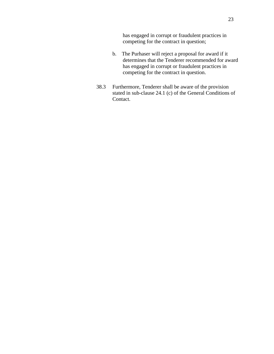has engaged in corrupt or fraudulent practices in competing for the contract in question;

- b. The Purhaser will reject a proposal for award if it determines that the Tenderer recommended for award has engaged in corrupt or fraudulent practices in competing for the contract in question.
- 38.3 Furthermore, Tenderer shall be aware of the provision stated in sub-clause 24.1 (c) of the General Conditions of Contact.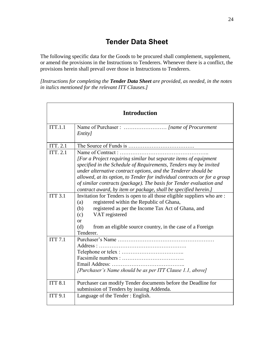## **Tender Data Sheet**

<span id="page-24-0"></span>The following specific data for the Goods to be procured shall complement, supplement, or amend the provisions in the Instructions to Tenderers. Whenever there is a conflict, the provisions herein shall prevail over those in Instructions to Tenderers.

*[Instructions for completing the Tender Data Sheet are provided, as needed, in the notes in italics mentioned for the relevant ITT Clauses.]*

| <b>Introduction</b> |                                                                                                                                                                                                                                                                                                               |  |  |  |
|---------------------|---------------------------------------------------------------------------------------------------------------------------------------------------------------------------------------------------------------------------------------------------------------------------------------------------------------|--|--|--|
| <b>ITT.1.1</b>      | <i>Entity</i>                                                                                                                                                                                                                                                                                                 |  |  |  |
| ITT. 2.1            |                                                                                                                                                                                                                                                                                                               |  |  |  |
| <b>ITT. 2.1</b>     | Name of Contract:                                                                                                                                                                                                                                                                                             |  |  |  |
|                     | [For a Project requiring similar but separate items of equipment<br>specified in the Schedule of Requirements, Tenders may be invited<br>under alternative contract options, and the Tenderer should be<br>allowed, at its option, to Tender for individual contracts or for a group                          |  |  |  |
|                     | of similar contracts (package). The basis for Tender evaluation and<br>contract award, by item or package, shall be specified herein.]                                                                                                                                                                        |  |  |  |
| <b>ITT 3.1</b>      | Invitation for Tenders is open to all those eligible suppliers who are:<br>registered within the Republic of Ghana,<br>(a)<br>registered as per the Income Tax Act of Ghana, and<br>(b)<br>VAT registered<br>(c)<br>$\alpha$<br>from an eligible source country, in the case of a Foreign<br>(d)<br>Tenderer. |  |  |  |
| <b>ITT 7.1</b>      | [Purchaser's Name should be as per ITT Clause 1.1, above]                                                                                                                                                                                                                                                     |  |  |  |
| <b>ITT 8.1</b>      | Purchaser can modify Tender documents before the Deadline for<br>submission of Tenders by issuing Addenda.                                                                                                                                                                                                    |  |  |  |
| <b>ITT 9.1</b>      | Language of the Tender: English.                                                                                                                                                                                                                                                                              |  |  |  |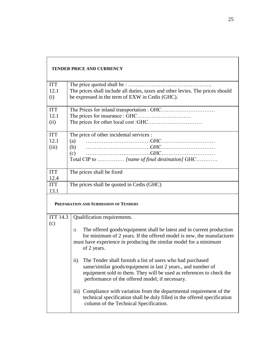|                        | <b>TENDER PRICE AND CURRENCY</b>                                                                                                                                                                                                                          |  |  |  |  |
|------------------------|-----------------------------------------------------------------------------------------------------------------------------------------------------------------------------------------------------------------------------------------------------------|--|--|--|--|
| <b>ITT</b>             |                                                                                                                                                                                                                                                           |  |  |  |  |
| 12.1                   | The prices shall include all duties, taxes and other levies. The prices should                                                                                                                                                                            |  |  |  |  |
| (i)                    | be expressed in the term of EXW in Cedis (GHC).                                                                                                                                                                                                           |  |  |  |  |
| <b>ITT</b>             |                                                                                                                                                                                                                                                           |  |  |  |  |
| 12.1                   |                                                                                                                                                                                                                                                           |  |  |  |  |
| (ii)                   |                                                                                                                                                                                                                                                           |  |  |  |  |
| <b>ITT</b>             | The price of other incidental services :                                                                                                                                                                                                                  |  |  |  |  |
| 12.1                   | (a)                                                                                                                                                                                                                                                       |  |  |  |  |
| (iii)                  | (b)                                                                                                                                                                                                                                                       |  |  |  |  |
|                        | (c)                                                                                                                                                                                                                                                       |  |  |  |  |
|                        | Total CIP to  [name of final destination] GHC                                                                                                                                                                                                             |  |  |  |  |
| <b>ITT</b>             | The prices shall be fixed                                                                                                                                                                                                                                 |  |  |  |  |
| 12.4                   |                                                                                                                                                                                                                                                           |  |  |  |  |
| <b>ITT</b>             | The prices shall be quoted in Cedis (GHC)                                                                                                                                                                                                                 |  |  |  |  |
| 13.1                   |                                                                                                                                                                                                                                                           |  |  |  |  |
|                        | PREPARATION AND SUBMISSION OF TENDERS                                                                                                                                                                                                                     |  |  |  |  |
| <b>ITT 14.3</b><br>(c) | Qualification requirements.                                                                                                                                                                                                                               |  |  |  |  |
|                        | The offered goods/equipment shall be latest and in current production<br>$\mathbf{i}$<br>for minimum of 2 years. If the offered model is new, the manufacturer<br>must have experience in producing the similar model for a minimum<br>of 2 years.        |  |  |  |  |
|                        | ii) The Tender shall furnish a list of users who had purchased<br>same/similar goods/equipment in last 2 years., and number of<br>equipment sold to them. They will be used as references to check the<br>performance of the offered model, if necessary. |  |  |  |  |
|                        | Compliance with variation from the departmental requirement of the<br>$\overline{111}$ )<br>technical specification shall be duly filled in the offered specification<br>column of the Technical Specification.                                           |  |  |  |  |

 $\Gamma$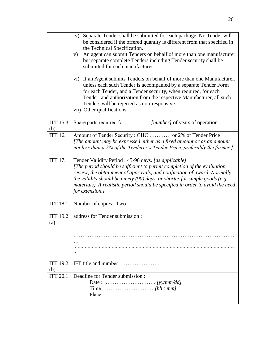|                        | iv)<br>Separate Tender shall be submitted for each package. No Tender will<br>be considered if the offered quantity is different from that specified in<br>the Technical Specification.<br>An agent can submit Tenders on behalf of more than one manufacturer<br>V)<br>but separate complete Tenders including Tender security shall be<br>submitted for each manufacturer.                      |  |  |  |  |  |  |
|------------------------|---------------------------------------------------------------------------------------------------------------------------------------------------------------------------------------------------------------------------------------------------------------------------------------------------------------------------------------------------------------------------------------------------|--|--|--|--|--|--|
|                        | vi) If an Agent submits Tenders on behalf of more than one Manufacturer,<br>unless each such Tender is accompanied by a separate Tender Form<br>for each Tender, and a Tender security, when required, for each<br>Tender, and authorization from the respective Manufacturer, all such<br>Tenders will be rejected as non-responsive.<br>vii) Other qualifications.                              |  |  |  |  |  |  |
| <b>ITT 15.3</b><br>(b) | Spare parts required for  [number] of years of operation.                                                                                                                                                                                                                                                                                                                                         |  |  |  |  |  |  |
| <b>ITT 16.1</b>        | Amount of Tender Security: GHC  or 2% of Tender Price<br>[The amount may be expressed either as a fixed amount or as an amount<br>not less than a 2% of the Tenderer's Tender Price, preferably the former.]                                                                                                                                                                                      |  |  |  |  |  |  |
| <b>ITT 17.1</b>        | Tender Validity Period : 45-90 days. [as applicable]<br>[The period should be sufficient to permit completion of the evaluation,<br>review, the obtainment of approvals, and notification of award. Normally,<br>the validity should be ninety $(90)$ days, or shorter for simple goods (e.g.<br>materials). A realistic period should be specified in order to avoid the need<br>for extension.] |  |  |  |  |  |  |
| <b>ITT 18.1</b>        | Number of copies : Two                                                                                                                                                                                                                                                                                                                                                                            |  |  |  |  |  |  |
| <b>ITT 19.2</b>        | address for Tender submission:                                                                                                                                                                                                                                                                                                                                                                    |  |  |  |  |  |  |
| (a)                    | .                                                                                                                                                                                                                                                                                                                                                                                                 |  |  |  |  |  |  |
|                        |                                                                                                                                                                                                                                                                                                                                                                                                   |  |  |  |  |  |  |
| <b>ITT 19.2</b><br>(b) | IFT title and number :                                                                                                                                                                                                                                                                                                                                                                            |  |  |  |  |  |  |
| <b>ITT 20.1</b>        | Deadline for Tender submission:<br>$Place: \ldots \ldots \ldots \ldots \ldots \ldots \ldots \ldots$                                                                                                                                                                                                                                                                                               |  |  |  |  |  |  |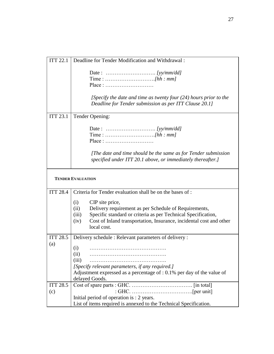| <b>ITT 22.1</b> | Deadline for Tender Modification and Withdrawal:                                                                                                                                                                                                                |
|-----------------|-----------------------------------------------------------------------------------------------------------------------------------------------------------------------------------------------------------------------------------------------------------------|
|                 | $Place: \dots \dots \dots \dots \dots \dots \dots \dots \dots \dots$<br>[Specify the date and time as twenty four $(24)$ hours prior to the<br>Deadline for Tender submission as per ITT Clause 20.1]                                                           |
| <b>ITT 23.1</b> | Tender Opening:                                                                                                                                                                                                                                                 |
|                 |                                                                                                                                                                                                                                                                 |
|                 | $Place: \ldots \ldots \ldots \ldots \ldots \ldots \ldots \ldots$                                                                                                                                                                                                |
|                 | [The date and time should be the same as for Tender submission]<br>specified under ITT 20.1 above, or immediately thereafter.]                                                                                                                                  |
|                 | <b>TENDER EVALUATION</b>                                                                                                                                                                                                                                        |
| <b>ITT 28.4</b> | Criteria for Tender evaluation shall be on the bases of:                                                                                                                                                                                                        |
|                 | CIP site price,<br>(i)<br>(ii)<br>Delivery requirement as per Schedule of Requirements,<br>Specific standard or criteria as per Technical Specification,<br>(iii)<br>Cost of Inland transportation, Insurance, incidental cost and other<br>(iv)<br>local cost. |
| <b>ITT 28.5</b> | Delivery schedule: Relevant parameters of delivery:                                                                                                                                                                                                             |
| (a)             | (i)<br>(ii)<br>(iii)<br>[Specify relevant parameters, if any required.]<br>Adjustment expressed as a percentage of $: 0.1\%$ per day of the value of<br>delayed Goods.                                                                                          |
| <b>ITT 28.5</b> |                                                                                                                                                                                                                                                                 |
| (c)             |                                                                                                                                                                                                                                                                 |
|                 | Initial period of operation is : 2 years.                                                                                                                                                                                                                       |
|                 | List of items required is annexed to the Technical Specification.                                                                                                                                                                                               |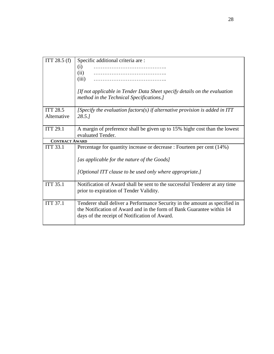| ITT $28.5(f)$                  | Specific additional criteria are:<br>(i)<br>(ii)<br>(iii)<br>[If not applicable in Tender Data Sheet specify details on the evaluation<br>method in the Technical Specifications.]                    |
|--------------------------------|-------------------------------------------------------------------------------------------------------------------------------------------------------------------------------------------------------|
|                                |                                                                                                                                                                                                       |
| <b>ITT 28.5</b><br>Alternative | [Specify the evaluation factors(s) if alternative provision is added in $ITT$<br>28.5.1                                                                                                               |
|                                |                                                                                                                                                                                                       |
| <b>ITT 29.1</b>                | A margin of preference shall be given up to 15% highr cost than the lowest<br>evaluated Tender.                                                                                                       |
| <b>CONTRACT AWARD</b>          |                                                                                                                                                                                                       |
| <b>ITT 33.1</b>                | Percentage for quantity increase or decrease : Fourteen per cent (14%)                                                                                                                                |
|                                | [as applicable for the nature of the Goods]                                                                                                                                                           |
|                                | [Optional ITT clause to be used only where appropriate.]                                                                                                                                              |
| <b>ITT 35.1</b>                | Notification of Award shall be sent to the successful Tenderer at any time<br>prior to expiration of Tender Validity.                                                                                 |
| <b>ITT 37.1</b>                | Tenderer shall deliver a Performance Security in the amount as specified in<br>the Notification of Award and in the form of Bank Guarantee within 14<br>days of the receipt of Notification of Award. |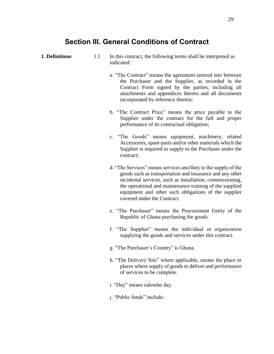## **Section III. General Conditions of Contract**

- 
- <span id="page-29-0"></span>**1. Definitions** 1.1 In this contract, the following terms shall be interpreted as indicated:
	- a. "The Contract" means the agreement entered into between the Purchaser and the Supplier, as recorded in the Contract Form signed by the parties, including all attachments and appendices thereto and all documents incorporated by reference therein;
	- b. "The Contract Price" means the price payable to the Supplier under the contract for the full and proper performance of its contractual obligation;
	- c. "The Goods" means equipment, machinery, related Accessories, spare-parts and/or other materials which the Supplier is required to supply to the Purchaser under the contract;
	- d. "The Services" means services ancillary to the supply of the goods such as transportation and insurance and any other incidental services, such as installation, commissioning, the operational and maintenance training of the supplied equipment and other such obligations of the supplier covered under the Contract.
	- e. "The Purchaser" means the Procurement Entity of the Republic of Ghana purchasing the goods.
	- f. "The Supplier" means the individual or organization supplying the goods and services under this contract.
	- g. "The Purchaser's Country" is Ghana.
	- h. "The Delivery Site" where applicable, means the place or places where supply of goods to deliver and performance of services to be complete.
	- i. "Day" means calendar day.
	- j. "Public funds" include: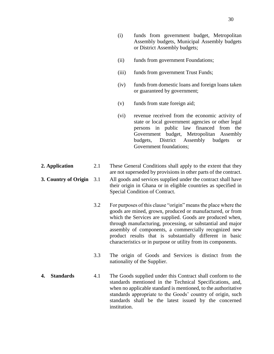- (ii) funds from government Foundations;
- (iii) funds from government Trust Funds;
- (iv) funds from domestic loans and foreign loans taken or guaranteed by government;
- (v) funds from state foreign aid;
- (vi) revenue received from the economic activity of state or local government agencies or other legal persons in public law financed from the Government budget, Metropolitan Assembly budgets, District Assembly budgets or Government foundations;
- **2. Application** 2.1 These General Conditions shall apply to the extent that they are not superseded by provisions in other parts of the contract.
- **3. Country of Origin** 3.1 All goods and services supplied under the contract shall have their origin in Ghana or in eligible countries as specified in Special Condition of Contract.
	- 3.2 For purposes of this clause "origin" means the place where the goods are mined, grown, produced or manufactured, or from which the Services are supplied. Goods are produced when, through manufacturing, processing, or substantial and major assembly of components, a commercially recognized new product results that is substantially different in basic characteristics or in purpose or utility from its components.
	- 3.3 The origin of Goods and Services is distinct from the nationality of the Supplier.
- **4. Standards** 4.1 The Goods supplied under this Contract shall conform to the standards mentioned in the Technical Specifications, and, when no applicable standard is mentioned, to the authoritative standards appropriate to the Goods' country of origin, such standards shall be the latest issued by the concerned institution.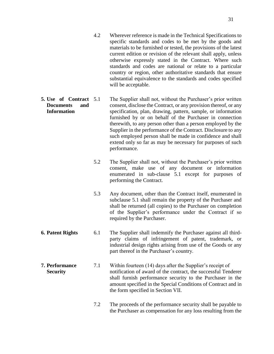- 4.2 Wherever reference is made in the Technical Specifications to specific standards and codes to be met by the goods and materials to be furnished or tested, the provisions of the latest current edition or revision of the relevant shall apply, unless otherwise expressly stated in the Contract. Where such standards and codes are national or relate to a particular country or region, other authoritative standards that ensure substantial equivalence to the standards and codes specified will be acceptable.
- **5. Use of Contract Documents and Information** The Supplier shall not, without the Purchaser's prior written consent, disclose the Contract, or any provision thereof, or any specification, plan, drawing, pattern, sample, or information furnished by or on behalf of the Purchaser in connection therewith, to any person other than a person employed by the Supplier in the performance of the Contract. Disclosure to any such employed person shall be made in confidence and shall extend only so far as may be necessary for purposes of such performance.
	- 5.2 The Supplier shall not, without the Purchaser's prior written consent, make use of any document or information enumerated in sub-clause 5.1 except for purposes of performing the Contract.
	- 5.3 Any document, other than the Contract itself, enumerated in subclause 5.1 shall remain the property of the Purchaser and shall be returned (all copies) to the Purchaser on completion of the Supplier's performance under the Contract if so required by the Purchaser.
- **6. Patent Rights** 6.1 The Supplier shall indemnify the Purchaser against all thirdparty claims of infringement of patent, trademark, or industrial design rights arising from use of the Goods or any part thereof in the Purchaser's country.
- **7. Performance Security** 7.1 Within fourteen (14) days after the Supplier's receipt of notification of award of the contract, the successful Tenderer shall furnish performance security to the Purchaser in the amount specified in the Special Conditions of Contract and in the form specified in Section VII.
	- 7.2 The proceeds of the performance security shall be payable to the Purchaser as compensation for any loss resulting from the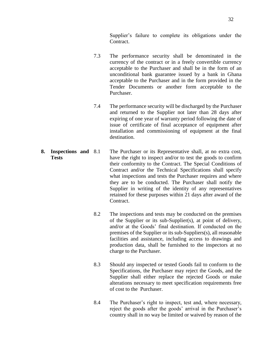Supplier's failure to complete its obligations under the Contract.

- 7.3 The performance security shall be denominated in the currency of the contract or in a freely convertible currency acceptable to the Purchaser and shall be in the form of an unconditional bank guarantee issued by a bank in Ghana acceptable to the Purchaser and in the form provided in the Tender Documents or another form acceptable to the Purchaser.
- 7.4 The performance security will be discharged by the Purchaser and returned to the Supplier not later than 28 days after expiring of one year of warranty period following the date of issue of certificate of final acceptance of equipment after installation and commissioning of equipment at the final destination.
- **8. Inspections and Tests** The Purchaser or its Representative shall, at no extra cost, have the right to inspect and/or to test the goods to confirm their conformity to the Contract. The Special Conditions of Contract and/or the Technical Specifications shall specify what inspections and tests the Purchaser requires and where they are to be conducted. The Purchaser shall notify the Supplier in writing of the identity of any representatives retained for these purposes within 21 days after award of the Contract.
	- 8.2 The inspections and tests may be conducted on the premises of the Supplier or its sub-Supplier(s), at point of delivery, and/or at the Goods' final destination. If conducted on the premises of the Supplier or its sub-Suppliers(s), all reasonable facilities and assistance, including access to drawings and production data, shall be furnished to the inspectors at no charge to the Purchaser.
	- 8.3 Should any inspected or tested Goods fail to conform to the Specifications, the Purchaser may reject the Goods, and the Supplier shall either replace the rejected Goods or make alterations necessary to meet specification requirements free of cost to the Purchaser.
	- 8.4 The Purchaser's right to inspect, test and, where necessary, reject the goods after the goods' arrival in the Purchaser's country shall in no way be limited or waived by reason of the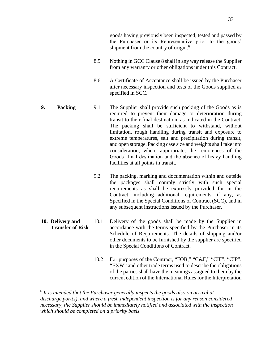- 8.5 Nothing in GCC Clause 8 shall in any way release the Supplier from any warranty or other obligations under this Contract.
- 8.6 A Certificate of Acceptance shall be issued by the Purchaser after necessary inspection and tests of the Goods supplied as specified in SCC.
- **9. Packing** 2.1 The Supplier shall provide such packing of the Goods as is required to prevent their damage or deterioration during transit to their final destination, as indicated in the Contract. The packing shall be sufficient to withstand, without limitation, rough handling during transit and exposure to extreme temperatures, salt and precipitation during transit, and open storage. Packing case size and weights shall take into consideration, where appropriate, the remoteness of the Goods' final destination and the absence of heavy handling facilities at all points in transit.
	- 9.2 The packing, marking and documentation within and outside the packages shall comply strictly with such special requirements as shall be expressly provided for in the Contract, including additional requirements, if any, as Specified in the Special Conditions of Contract (SCC), and in any subsequent instructions issued by the Purchaser.
- **10. Delivery and Transfer of Risk** 10.1 Delivery of the goods shall be made by the Supplier in accordance with the terms specified by the Purchaser in its Schedule of Requirements. The details of shipping and/or other documents to be furnished by the supplier are specified in the Special Conditions of Contract.
	- 10.2 For purposes of the Contract, "FOB," "C&F," "CIF", "CIP", "EXW" and other trade terms used to describe the obligations of the parties shall have the meanings assigned to them by the current edition of the International Rules for the Interpretation

 $\overline{a}$ 

<sup>&</sup>lt;sup>6</sup> It is intended that the Purchaser generally inspects the goods also on arrival at *discharge port(s), and where a fresh independent inspection is for any reason considered necessary, the Supplier should be immediately notified and associated with the inspection which should be completed on a priority basis.*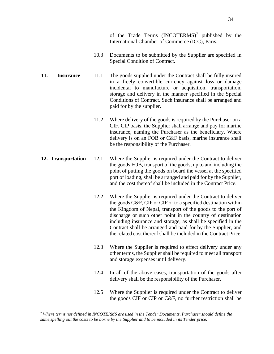of the Trade Terms  $(INCOTERMS)^7$  published by the International Chamber of Commerce (ICC), Paris.

- 10.3 Documents to be submitted by the Supplier are specified in Special Condition of Contract.
- **11. Insurance** 11.1 The goods supplied under the Contract shall be fully insured in a freely convertible currency against loss or damage incidental to manufacture or acquisition, transportation, storage and delivery in the manner specified in the Special Conditions of Contract. Such insurance shall be arranged and paid for by the supplier.
	- 11.2 Where delivery of the goods is required by the Purchaser on a CIF, CIP basis, the Supplier shall arrange and pay for marine insurance, naming the Purchaser as the beneficiary. Where delivery is on an FOB or C&F basis, marine insurance shall be the responsibility of the Purchaser.
- **12. Transportation** 12.1 Where the Supplier is required under the Contract to deliver the goods FOB, transport of the goods, up to and including the point of putting the goods on board the vessel at the specified port of loading, shall be arranged and paid for by the Supplier, and the cost thereof shall be included in the Contract Price.
	- 12.2 Where the Supplier is required under the Contract to deliver the goods C&F, CIP or CIF or to a specified destination within the Kingdom of Nepal, transport of the goods to the port of discharge or such other point in the country of destination including insurance and storage, as shall be specified in the Contract shall be arranged and paid for by the Supplier, and the related cost thereof shall be included in the Contract Price.
	- 12.3 Where the Supplier is required to effect delivery under any other terms, the Supplier shall be required to meet all transport and storage expenses until delivery.
	- 12.4 In all of the above cases, transportation of the goods after delivery shall be the responsibility of the Purchaser.
	- 12.5 Where the Supplier is required under the Contract to deliver the goods CIF or CIP or C&F, no further restriction shall be

 $\overline{a}$ 

*<sup>7</sup> Where terms not defined in INCOTERMS are used in the Tender Documents, Purchaser should define the same,spelling out the costs to be borne by the Supplier and to be included in its Tender price.*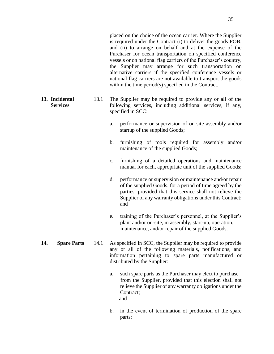placed on the choice of the ocean carrier. Where the Supplier is required under the Contract (i) to deliver the goods FOB, and (ii) to arrange on behalf and at the expense of the Purchaser for ocean transportation on specified conference vessels or on national flag carriers of the Purchaser's country, the Supplier may arrange for such transportation on alternative carriers if the specified conference vessels or national flag carriers are not available to transport the goods within the time period(s) specified in the Contract.

- **13. Incidental Services** 13.1 The Supplier may be required to provide any or all of the following services, including additional services, if any, specified in SCC:
	- a. performance or supervision of on-site assembly and/or startup of the supplied Goods;
	- b. furnishing of tools required for assembly and/or maintenance of the supplied Goods;
	- c. furnishing of a detailed operations and maintenance manual for each, appropriate unit of the supplied Goods;
	- d. performance or supervision or maintenance and/or repair of the supplied Goods, for a period of time agreed by the parties, provided that this service shall not relieve the Supplier of any warranty obligations under this Contract; and
	- e. training of the Purchaser's personnel, at the Supplier's plant and/or on-site, in assembly, start-up, operation, maintenance, and/or repair of the supplied Goods.
- **14. Spare Parts** 14.1 As specified in SCC, the Supplier may be required to provide any or all of the following materials, notifications, and information pertaining to spare parts manufactured or distributed by the Supplier:
	- a. such spare parts as the Purchaser may elect to purchase from the Supplier, provided that this election shall not relieve the Supplier of any warranty obligations under the Contract; and
	- b. in the event of termination of production of the spare parts: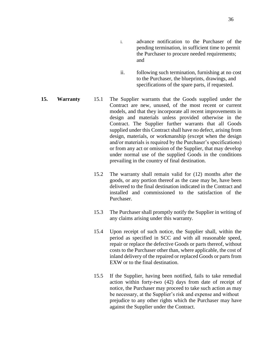- ii. following such termination, furnishing at no cost to the Purchaser, the blueprints, drawings, and specifications of the spare parts, if requested.
- **15. Warranty** 15.1 The Supplier warrants that the Goods supplied under the Contract are new, unused, of the most recent or current models, and that they incorporate all recent improvements in design and materials unless provided otherwise in the Contract. The Supplier further warrants that all Goods supplied under this Contract shall have no defect, arising from design, materials, or workmanship (except when the design and/or materials is required by the Purchaser's specifications) or from any act or omission of the Supplier, that may develop under normal use of the supplied Goods in the conditions prevailing in the country of final destination.
	- 15.2 The warranty shall remain valid for (12) months after the goods, or any portion thereof as the case may be, have been delivered to the final destination indicated in the Contract and installed and commissioned to the satisfaction of the Purchaser.
	- 15.3 The Purchaser shall promptly notify the Supplier in writing of any claims arising under this warranty.
	- 15.4 Upon receipt of such notice, the Supplier shall, within the period as specified in SCC and with all reasonable speed, repair or replace the defective Goods or parts thereof, without costs to the Purchaser other than, where applicable, the cost of inland delivery of the repaired or replaced Goods or parts from EXW or to the final destination.
	- 15.5 If the Supplier, having been notified, fails to take remedial action within forty-two (42) days from date of receipt of notice, the Purchaser may proceed to take such action as may be necessary, at the Supplier's risk and expense and without prejudice to any other rights which the Purchaser may have against the Supplier under the Contract.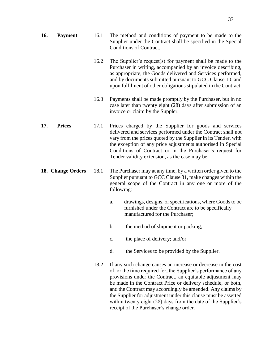| 16. | Payment | 16.1 | The method and conditions of payment to be made to the        |
|-----|---------|------|---------------------------------------------------------------|
|     |         |      | Supplier under the Contract shall be specified in the Special |
|     |         |      | Conditions of Contract.                                       |

- 16.2 The Supplier's request(s) for payment shall be made to the Purchaser in writing, accompanied by an invoice describing, as appropriate, the Goods delivered and Services performed, and by documents submitted pursuant to GCC Clause 10, and upon fulfilment of other obligations stipulated in the Contract.
- 16.3 Payments shall be made promptly by the Purchaser, but in no case later than twenty eight (28) days after submission of an invoice or claim by the Suppler.
- **17. Prices** 17.1 Prices charged by the Supplier for goods and services delivered and services performed under the Contract shall not vary from the prices quoted by the Supplier in its Tender, with the exception of any price adjustments authorised in Special Conditions of Contract or in the Purchaser's request for Tender validity extension, as the case may be.
- **18. Change Orders** 18.1 The Purchaser may at any time, by a written order given to the Supplier pursuant to GCC Clause 31, make changes within the general scope of the Contract in any one or more of the following:
	- a. drawings, designs, or specifications, where Goods to be furnished under the Contract are to be specifically manufactured for the Purchaser;
	- b. the method of shipment or packing;
	- c. the place of delivery; and/or
	- d. the Services to be provided by the Supplier.
	- 18.2 If any such change causes an increase or decrease in the cost of, or the time required for, the Supplier's performance of any provisions under the Contract, an equitable adjustment may be made in the Contract Price or delivery schedule, or both, and the Contract may accordingly be amended. Any claims by the Supplier for adjustment under this clause must be asserted within twenty eight (28) days from the date of the Supplier's receipt of the Purchaser's change order.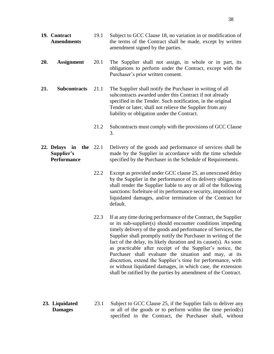- **19. Contract Amendments** 19.1 Subject to GCC Clause 18, no variation in or modification of the terms of the Contract shall be made, except by written amendment signed by the parties.
- **20. Assignment** 20.1 The Supplier shall not assign, in whole or in part, its obligations to perform under the Contract, except with the Purchaser's prior written consent.
- **21. Subcontracts** 21.1 The Supplier shall notify the Purchaser in writing of all subcontracts awarded under this Contract if not already specified in the Tender. Such notification, in the original Tender or later, shall not relieve the Supplier from any liability or obligation under the Contract.
	- 21.2 Subcontracts must comply with the provisions of GCC Clause 3.
- **22. Delays in the Supplier's Performance** Delivery of the goods and performance of services shall be made by the Supplier in accordance with the time schedule specified by the Purchaser in the Schedule of Requirements.
	- 22.2 Except as provided under GCC clause 25, an unexcused delay by the Supplier in the performance of its delivery obligations shall render the Supplier liable to any or all of the following sanctions: forfeiture of its performance security, imposition of liquidated damages, and/or termination of the Contract for default.
	- 22.3 If at any time during performance of the Contract, the Supplier or its sub-supplier(s) should encounter conditions impeding timely delivery of the goods and performance of Services, the Supplier shall promptly notify the Purchaser in writing of the fact of the delay, its likely duration and its cause(s). As soon as practicable after receipt of the Supplier's notice, the Purchaser shall evaluate the situation and may, at its discretion, extend the Supplier's time for performance, with or without liquidated damages, in which case, the extension shall be ratified by the parties by amendment of the Contract.
- **23. Liquidated Damages** 23.1 Subject to GCC Clause 25, if the Supplier fails to deliver any or all of the goods or to perform within the time period(s) specified in the Contract, the Purchaser shall, without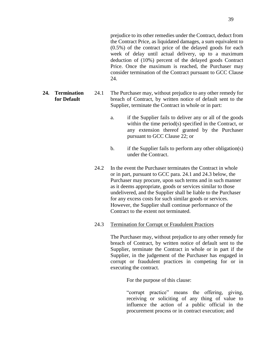prejudice to its other remedies under the Contract, deduct from the Contract Price, as liquidated damages, a sum equivalent to (0.5%) of the contract price of the delayed goods for each week of delay until actual delivery, up to a maximum deduction of (10%) percent of the delayed goods Contract Price. Once the maximum is reached, the Purchaser may consider termination of the Contract pursuant to GCC Clause 24.

- **24. Termination for Default** 24.1 The Purchaser may, without prejudice to any other remedy for breach of Contract, by written notice of default sent to the Supplier, terminate the Contract in whole or in part:
	- a. if the Supplier fails to deliver any or all of the goods within the time period(s) specified in the Contract, or any extension thereof granted by the Purchaser pursuant to GCC Clause 22; or
	- b. if the Supplier fails to perform any other obligation(s) under the Contract.
	- 24.2 In the event the Purchaser terminates the Contract in whole or in part, pursuant to GCC para. 24.1 and 24.3 below, the Purchaser may procure, upon such terms and in such manner as it deems appropriate, goods or services similar to those undelivered, and the Supplier shall be liable to the Purchaser for any excess costs for such similar goods or services. However, the Supplier shall continue performance of the Contract to the extent not terminated.
	- 24.3 Termination for Corrupt or Fraudulent Practices

The Purchaser may, without prejudice to any other remedy for breach of Contract, by written notice of default sent to the Supplier, terminate the Contract in whole or in part if the Supplier, in the judgement of the Purchaser has engaged in corrupt or fraudulent practices in competing for or in executing the contract.

For the purpose of this clause:

"corrupt practice" means the offering, giving, receiving or soliciting of any thing of value to influence the action of a public official in the procurement process or in contract execution; and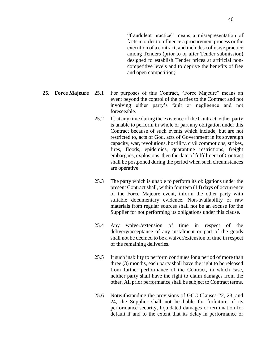"fraudulent practice" means a misrepresentation of facts in order to influence a procurement process or the execution of a contract, and includes collusive practice among Tenders (prior to or after Tender submission) designed to establish Tender prices at artificial noncompetitive levels and to deprive the benefits of free and open competition;

- **25. Force Majeure** 25.1 For purposes of this Contract, "Force Majeure" means an event beyond the control of the parties to the Contract and not involving either party's fault or negligence and not foreseeable.
	- 25.2 If, at any time during the existence of the Contract, either party is unable to perform in whole or part any obligation under this Contract because of such events which include, but are not restricted to, acts of God, acts of Government in its sovereign capacity, war, revolutions, hostility, civil commotions, strikes, fires, floods, epidemics, quarantine restrictions, freight embargoes, explosions, then the date of fulfillment of Contract shall be postponed during the period when such circumstances are operative.
	- 25.3 The party which is unable to perform its obligations under the present Contract shall, within fourteen (14) days of occurrence of the Force Majeure event, inform the other party with suitable documentary evidence. Non-availability of raw materials from regular sources shall not be an excuse for the Supplier for not performing its obligations under this clause.
	- 25.4 Any waiver/extension of time in respect of the delivery/acceptance of any instalment or part of the goods shall not be deemed to be a waiver/extension of time in respect of the remaining deliveries.
	- 25.5 If such inability to perform continues for a period of more than three (3) months, each party shall have the right to be released from further performance of the Contract, in which case, neither party shall have the right to claim damages from the other. All prior performance shall be subject to Contract terms.
	- 25.6 Notwithstanding the provisions of GCC Clauses 22, 23, and 24, the Supplier shall not be liable for forfeiture of its performance security, liquidated damages or termination for default if and to the extent that its delay in performance or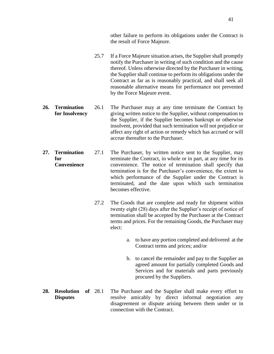other failure to perform its obligations under the Contract is the result of Force Majeure.

- 25.7 If a Force Majeure situation arises, the Supplier shall promptly notify the Purchaser in writing of such condition and the cause thereof. Unless otherwise directed by the Purchaser in writing, the Supplier shall continue to perform its obligations under the Contract as far as is reasonably practical, and shall seek all reasonable alternative means for performance not prevented by the Force Majeure event.
- **26. Termination for Insolvency** 26.1 The Purchaser may at any time terminate the Contract by giving written notice to the Supplier, without compensation to the Supplier, if the Supplier becomes bankrupt or otherwise insolvent, provided that such termination will not prejudice or affect any right of action or remedy which has accrued or will accrue thereafter to the Purchaser.
- **27. Termination for Convenience** 27.1 The Purchaser, by written notice sent to the Supplier, may terminate the Contract, in whole or in part, at any time for its convenience. The notice of termination shall specify that termination is for the Purchaser's convenience, the extent to which performance of the Supplier under the Contract is terminated, and the date upon which such termination becomes effective.
	- 27.2 The Goods that are complete and ready for shipment within twenty eight (28) days after the Supplier's receipt of notice of termination shall be accepted by the Purchaser at the Contract terms and prices. For the remaining Goods, the Purchaser may elect:
		- a. to have any portion completed and delivered at the Contract terms and prices; and/or
		- b. to cancel the remainder and pay to the Supplier an agreed amount for partially completed Goods and Services and for materials and parts previously procured by the Suppliers.
- **28. Resolution of Disputes** The Purchaser and the Supplier shall make every effort to resolve amicably by direct informal negotiation any disagreement or dispute arising between them under or in connection with the Contract.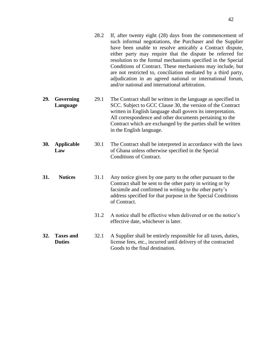|     |                                   | 28.2 | If, after twenty eight (28) days from the commencement of<br>such informal negotiations, the Purchaser and the Supplier<br>have been unable to resolve amicably a Contract dispute,<br>either party may require that the dispute be referred for<br>resolution to the formal mechanisms specified in the Special<br>Conditions of Contract. These mechanisms may include, but<br>are not restricted to, conciliation mediated by a third party,<br>adjudication in an agreed national or international forum,<br>and/or national and international arbitration. |
|-----|-----------------------------------|------|-----------------------------------------------------------------------------------------------------------------------------------------------------------------------------------------------------------------------------------------------------------------------------------------------------------------------------------------------------------------------------------------------------------------------------------------------------------------------------------------------------------------------------------------------------------------|
| 29. | Governing<br>Language             | 29.1 | The Contract shall be written in the language as specified in<br>SCC. Subject to GCC Clause 30, the version of the Contract<br>written in English language shall govern its interpretation.<br>All correspondence and other documents pertaining to the<br>Contract which are exchanged by the parties shall be written<br>in the English language.                                                                                                                                                                                                             |
| 30. | <b>Applicable</b><br>Law          | 30.1 | The Contract shall be interpreted in accordance with the laws<br>of Ghana unless otherwise specified in the Special<br><b>Conditions of Contract.</b>                                                                                                                                                                                                                                                                                                                                                                                                           |
| 31. | <b>Notices</b>                    | 31.1 | Any notice given by one party to the other pursuant to the<br>Contract shall be sent to the other party in writing or by<br>facsimile and confirmed in writing to the other party's<br>address specified for that purpose in the Special Conditions<br>of Contract.                                                                                                                                                                                                                                                                                             |
|     |                                   | 31.2 | A notice shall be effective when delivered or on the notice's<br>effective date, whichever is later.                                                                                                                                                                                                                                                                                                                                                                                                                                                            |
| 32. | <b>Taxes and</b><br><b>Duties</b> | 32.1 | A Supplier shall be entirely responsible for all taxes, duties,<br>license fees, etc., incurred until delivery of the contracted<br>Goods to the final destination.                                                                                                                                                                                                                                                                                                                                                                                             |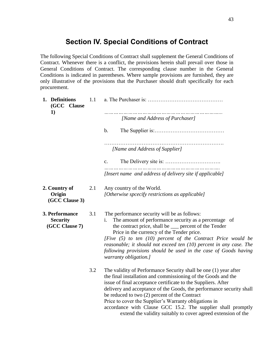## **Section IV. Special Conditions of Contract**

<span id="page-43-0"></span>The following Special Conditions of Contract shall supplement the General Conditions of Contract. Whenever there is a conflict, the provisions herein shall prevail over those in General Conditions of Contract. The corresponding clause number in the General Conditions is indicated in parentheses. Where sample provisions are furnished, they are only illustrative of the provisions that the Purchaser should draft specifically for each procurement.

| 1. Definitions<br>(GCC Clause<br>1)                 | 1.1 |                                                                                                                                                                                                                                                                                                                                                                                                                                                                                                                       |
|-----------------------------------------------------|-----|-----------------------------------------------------------------------------------------------------------------------------------------------------------------------------------------------------------------------------------------------------------------------------------------------------------------------------------------------------------------------------------------------------------------------------------------------------------------------------------------------------------------------|
|                                                     |     | [Name and Address of Purchaser]                                                                                                                                                                                                                                                                                                                                                                                                                                                                                       |
|                                                     |     | $\mathbf b$ .                                                                                                                                                                                                                                                                                                                                                                                                                                                                                                         |
|                                                     |     | [Name and Address of Supplier]                                                                                                                                                                                                                                                                                                                                                                                                                                                                                        |
|                                                     |     | c.                                                                                                                                                                                                                                                                                                                                                                                                                                                                                                                    |
|                                                     |     | [Insert name and address of delivery site if applicable]                                                                                                                                                                                                                                                                                                                                                                                                                                                              |
| 2. Country of<br>Origin<br>(GCC Clause 3)           | 2.1 | Any country of the World.<br>[Otherwise spcecify restrictions as applicable]                                                                                                                                                                                                                                                                                                                                                                                                                                          |
| 3. Performance<br><b>Security</b><br>(GCC Clause 7) | 3.1 | The performance security will be as follows:<br>The amount of performance security as a percentage of<br>i.<br>the contract price, shall be <u>equipmenent</u> of the Tender<br>Price in the currency of the Tender price.<br>[Five (5) to ten (10) percent of the Contract Price would be<br>reasonable; it should not exceed ten $(10)$ percent in any case. The<br>following provisions should be used in the case of Goods having<br>warranty obligation.]                                                        |
|                                                     | 3.2 | The validity of Performance Security shall be one (1) year after<br>the final installation and commissioning of the Goods and the<br>issue of final acceptance certificate to the Suppliers. After<br>delivery and acceptance of the Goods, the performance security shall<br>be reduced to two (2) percent of the Contract<br>Price to cover the Supplier's Warranty obligations in<br>accordance with Clause GCC 15.2. The supplier shall promptly<br>extend the validity suitably to cover agreed extension of the |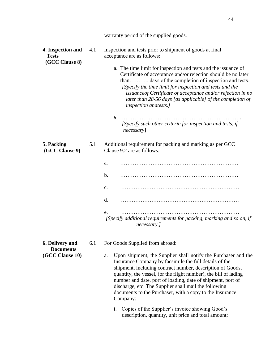|                                                               |     | warranty period of the supplied goods.                                                                                                                                                                                                                                                                                                                                                                                                                                                                                                                                                |
|---------------------------------------------------------------|-----|---------------------------------------------------------------------------------------------------------------------------------------------------------------------------------------------------------------------------------------------------------------------------------------------------------------------------------------------------------------------------------------------------------------------------------------------------------------------------------------------------------------------------------------------------------------------------------------|
| 4. Inspection and<br><b>Tests</b><br>(GCC Clause 8)           | 4.1 | Inspection and tests prior to shipment of goods at final<br>acceptance are as follows:<br>a. The time limit for inspection and tests and the issuance of<br>Certificate of acceptance and/or rejection should be no later<br>than days of the completion of inspection and tests.<br>[Specify the time limit for inspection and tests and the<br>issuance of Certificate of acceptance and/or rejection in no<br>later than 28-56 days [as applicable] of the completion of<br>inspection andtests.]<br>b.<br>[Specify such other criteria for inspection and tests, if<br>necessary] |
| 5. Packing<br>(GCC Clause 9)                                  | 5.1 | Additional requirement for packing and marking as per GCC<br>Clause 9.2 are as follows:<br>a.<br>$\mathbf b$ .                                                                                                                                                                                                                                                                                                                                                                                                                                                                        |
|                                                               |     | $\mathbf{c}$ .                                                                                                                                                                                                                                                                                                                                                                                                                                                                                                                                                                        |
|                                                               |     | d.                                                                                                                                                                                                                                                                                                                                                                                                                                                                                                                                                                                    |
|                                                               |     | e.<br>[Specify additional requirements for packing, marking and so on, if<br>necessary.]                                                                                                                                                                                                                                                                                                                                                                                                                                                                                              |
| <b>6. Delivery and</b><br><b>Documents</b><br>(GCC Clause 10) | 6.1 | For Goods Supplied from abroad:<br>Upon shipment, the Supplier shall notify the Purchaser and the<br>a.                                                                                                                                                                                                                                                                                                                                                                                                                                                                               |

a. Upon shipment, the Supplier shall notify the Purchaser and the Insurance Company by facsimile the full details of the shipment, including contract number, description of Goods, quantity, the vessel, (or the flight number), the bill of lading number and date, port of loading, date of shipment, port of discharge, etc. The Supplier shall mail the following documents to the Purchaser, with a copy to the Insurance Company:

44

i. Copies of the Supplier's invoice showing Good's description, quantity, unit price and total amount;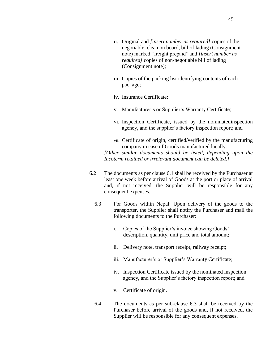- ii. Original and *[insert number as required]* copies of the negotiable, clean on board, bill of lading (Consignment note) marked "freight prepaid" and *[insert number as required]* copies of non-negotiable bill of lading (Consignment note);
- iii. Copies of the packing list identifying contents of each package;
- iv. Insurance Certificate;
- v. Manufacturer's or Supplier's Warranty Certificate;
- vi. Inspection Certificate, issued by the nominatedinspection agency, and the supplier's factory inspection report; and
- vii. Certificate of origin, certified/verified by the manufacturing company in case of Goods manufactured locally.

*[Other similar documents should be listed, depending upon the Incoterm retained or irrelevant document can be deleted.]*

- 6.2 The documents as per clause 6.1 shall be received by the Purchaser at least one week before arrival of Goods at the port or place of arrival and, if not received, the Supplier will be responsible for any consequent expenses.
	- 6.3 For Goods within Nepal: Upon delivery of the goods to the transporter, the Supplier shall notify the Purchaser and mail the following documents to the Purchaser:
		- i. Copies of the Supplier's invoice showing Goods' description, quantity, unit price and total amount;
		- ii. Delivery note, transport receipt, railway receipt;
		- iii. Manufacturer's or Supplier's Warranty Certificate;
		- iv. Inspection Certificate issued by the nominated inspection agency, and the Supplier's factory inspection report; and
		- v. Certificate of origin.
	- 6.4 The documents as per sub-clause 6.3 shall be received by the Purchaser before arrival of the goods and, if not received, the Supplier will be responsible for any consequent expenses.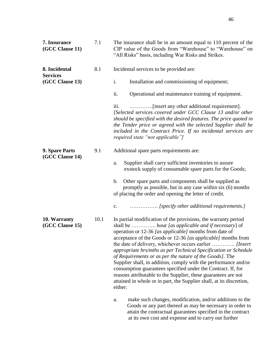| 7. Insurance<br>(GCC Clause 11)  | 7.1  | The insurance shall be in an amount equal to 110 percent of the<br>CIP value of the Goods from "Warehouse" to "Warehouse" on<br>"All Risks" basis, including War Risks and Strikes.                                                                                                                                                                                                                                                                                                                                                                                                                                                                                                                                              |  |  |  |  |
|----------------------------------|------|----------------------------------------------------------------------------------------------------------------------------------------------------------------------------------------------------------------------------------------------------------------------------------------------------------------------------------------------------------------------------------------------------------------------------------------------------------------------------------------------------------------------------------------------------------------------------------------------------------------------------------------------------------------------------------------------------------------------------------|--|--|--|--|
| 8. Incidental<br><b>Services</b> | 8.1  | Incidental services to be provided are:                                                                                                                                                                                                                                                                                                                                                                                                                                                                                                                                                                                                                                                                                          |  |  |  |  |
| (GCC Clause 13)                  |      | i.<br>Installation and commissioning of equipment;                                                                                                                                                                                                                                                                                                                                                                                                                                                                                                                                                                                                                                                                               |  |  |  |  |
|                                  |      | ii.<br>Operational and maintenance training of equipment.                                                                                                                                                                                                                                                                                                                                                                                                                                                                                                                                                                                                                                                                        |  |  |  |  |
|                                  |      | iii.<br>[Selected services covered under GCC Clause 13 and/or other<br>should be specified with the desired features. The price quoted in<br>the Tender price or agreed with the selected Supplier shall be<br>included in the Contract Price. If no incidental services are<br>required state "not applicable"]                                                                                                                                                                                                                                                                                                                                                                                                                 |  |  |  |  |
| 9. Spare Parts                   | 9.1  | Additional spare parts requirements are:                                                                                                                                                                                                                                                                                                                                                                                                                                                                                                                                                                                                                                                                                         |  |  |  |  |
| (GCC Clause 14)                  |      | Supplier shall carry sufficient inventories to assure<br>a.<br>exstock supply of consumable spare parts for the Goods;                                                                                                                                                                                                                                                                                                                                                                                                                                                                                                                                                                                                           |  |  |  |  |
|                                  |      | Other spare parts and components shall be supplied as<br>b.<br>promptly as possible, but in any case within six (6) months<br>of placing the order and opening the letter of credit.                                                                                                                                                                                                                                                                                                                                                                                                                                                                                                                                             |  |  |  |  |
|                                  |      | [specify other additional requirements.]<br>$\mathbf{c}$ .                                                                                                                                                                                                                                                                                                                                                                                                                                                                                                                                                                                                                                                                       |  |  |  |  |
| 10. Warranty<br>(GCC Clause 15)  | 10.1 | In partial modification of the provisions, the warranty period<br>shall be  hour [as applicable and if necessary] of<br>operation or 12-36 [as applicable] months from date of<br>acceptance of the Goods or 12-36 [as applicable] months from<br>the date of delivery, whichever occurs earlier  [Insert]<br>appropriate hrs/mths as per Technical Specification or Schedule<br>of Requirements or as per the nature of the Goods]. The<br>Supplier shall, in addition, comply with the performance and/or<br>consumption guarantees specified under the Contract. If, for<br>reasons attributable to the Supplier, these guarantees are not<br>attained in whole or in part, the Supplier shall, at its discretion,<br>either: |  |  |  |  |
|                                  |      | make such changes, modification, and/or additions to the<br>a.<br>Goods or any part thereof as may be necessary in order to<br>attain the contractual guarantees specified in the contract<br>at its own cost and expense and to carry out further                                                                                                                                                                                                                                                                                                                                                                                                                                                                               |  |  |  |  |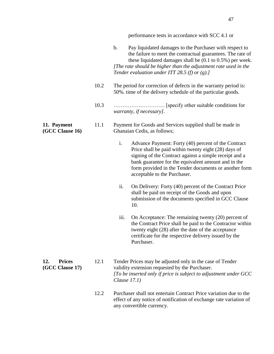| performance tests in accordance with SCC 4.1 or |  |  |  |  |  |
|-------------------------------------------------|--|--|--|--|--|
|-------------------------------------------------|--|--|--|--|--|

|                                         |      | $\mathbf b$ .<br>Pay liquidated damages to the Purchaser with respect to<br>the failure to meet the contractual guarantees. The rate of<br>these liquidated damages shall be $(0.1 \text{ to } 0.5\%)$ per week.<br>[The rate should be higher than the adjustment rate used in the<br>Tender evaluation under ITT 28.5 (f) or $(g)$ .] |
|-----------------------------------------|------|-----------------------------------------------------------------------------------------------------------------------------------------------------------------------------------------------------------------------------------------------------------------------------------------------------------------------------------------|
|                                         | 10.2 | The period for correction of defects in the warranty period is:<br>50%, time of the delivery schedule of the particular goods.                                                                                                                                                                                                          |
|                                         | 10.3 | warranty, if necessary].                                                                                                                                                                                                                                                                                                                |
| 11. Payment<br>(GCC Clause 16)          | 11.1 | Payment for Goods and Services supplied shall be made in<br>Ghanaian Cedis, as follows;                                                                                                                                                                                                                                                 |
|                                         |      | i.<br>Advance Payment: Forty (40) percent of the Contract<br>Price shall be paid within twenty eight (28) days of<br>signing of the Contract against a simple receipt and a<br>bank guarantee for the equivalent amount and in the<br>form provided in the Tender documents or another form<br>acceptable to the Purchaser.             |
|                                         |      | ii.<br>On Delivery: Forty (40) percent of the Contract Price<br>shall be paid on receipt of the Goods and upon<br>submission of the documents specified in GCC Clause<br>10.                                                                                                                                                            |
|                                         |      | iii.<br>On Acceptance: The remaining twenty (20) percent of<br>the Contract Price shall be paid to the Contractor within<br>twenty eight (28) after the date of the acceptance<br>certificate for the respective delivery issued by the<br>Purchaser.                                                                                   |
| <b>Prices</b><br>12.<br>(GCC Clause 17) | 12.1 | Tender Prices may be adjusted only in the case of Tender<br>validity extension requested by the Purchaser.<br>[To be inserted only if price is subject to adjustment under GCC<br>Clause $17.1$ )                                                                                                                                       |
|                                         | 12.2 | Purchaser shall not entertain Contract Price variation due to the<br>effect of any notice of notification of exchange rate variation of<br>any convertible currency.                                                                                                                                                                    |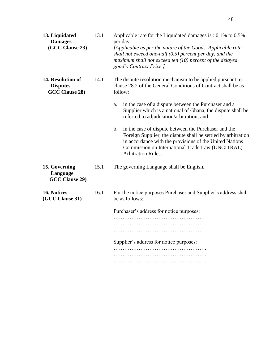| 13. Liquidated<br><b>Damages</b><br>(GCC Clause 23)    | 13.1 | Applicable rate for the Liquidated damages is $: 0.1\%$ to 0.5%<br>per day.<br>[Applicable as per the nature of the Goods. Applicable rate<br>shall not exceed one-half $(0.5)$ percent per day, and the<br>maximum shall not exceed ten $(10)$ percent of the delayed<br>good's Contract Price.]                |
|--------------------------------------------------------|------|------------------------------------------------------------------------------------------------------------------------------------------------------------------------------------------------------------------------------------------------------------------------------------------------------------------|
| 14. Resolution of<br><b>Disputes</b><br>GCC Clause 28) | 14.1 | The dispute resolution mechanism to be applied pursuant to<br>clause 28.2 of the General Conditions of Contract shall be as<br>follow:<br>in the case of a dispute between the Purchaser and a<br>a.<br>Supplier which is a national of Ghana, the dispute shall be<br>referred to adjudication/arbitration; and |
|                                                        |      | in the case of dispute between the Purchaser and the<br>$\mathbf b$ .<br>Foreign Supplier, the dispute shall be settled by arbitration<br>in accordance with the provisions of the United Nations<br>Commission on International Trade Law (UNCITRAL)<br><b>Arbitration Rules.</b>                               |
| 15. Governing<br>Language<br>GCC Clause 29)            | 15.1 | The governing Language shall be English.                                                                                                                                                                                                                                                                         |
| 16. Notices<br>(GCC Clause 31)                         | 16.1 | For the notice purposes Purchaser and Supplier's address shall<br>be as follows:<br>Purchaser's address for notice purposes:<br>Supplier's address for notice purposes:                                                                                                                                          |
|                                                        |      |                                                                                                                                                                                                                                                                                                                  |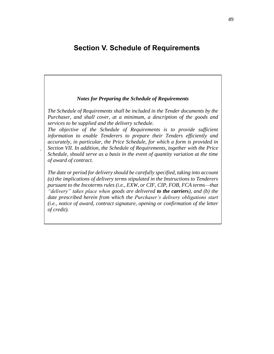## <span id="page-49-0"></span>**Section V. Schedule of Requirements**

#### *Notes for Preparing the Schedule of Requirements*

*The Schedule of Requirements shall be included in the Tender documents by the Purchaser, and shall cover, at a minimum, a description of the goods and services to be supplied and the delivery schedule.*

*The objective of the Schedule of Requirements is to provide sufficient information to enable Tenderers to prepare their Tenders efficiently and accurately, in particular, the Price Schedule, for which a form is provided in Section VII. In addition, the Schedule of Requirements, together with the Price Schedule, should serve as a basis in the event of quantity variation at the time of award of contract.*

*.*

*The date or period for delivery should be carefully specified, taking into account (a) the implications of delivery terms stipulated in the Instructions to Tenderers pursuant to the Incoterms rules (i.e., EXW, or CIF, CIP, FOB, FCA terms—that "delivery" takes place when goods are delivered to the carriers), and (b) the date prescribed herein from which the Purchaser's delivery obligations start (i.e., notice of award, contract signature, opening or confirmation of the letter of credit).*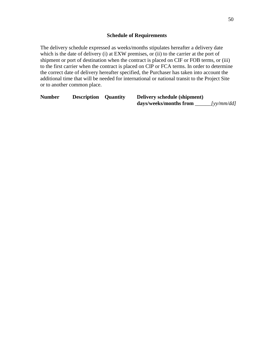<span id="page-50-0"></span>The delivery schedule expressed as weeks/months stipulates hereafter a delivery date which is the date of delivery (i) at EXW premises, or (ii) to the carrier at the port of shipment or port of destination when the contract is placed on CIF or FOB terms, or (iii) to the first carrier when the contract is placed on CIP or FCA terms. In order to determine the correct date of delivery hereafter specified, the Purchaser has taken into account the additional time that will be needed for international or national transit to the Project Site or to another common place.

| <b>Number</b> | <b>Description Quantity</b> | Delivery schedule (shipment) |                                                      |
|---------------|-----------------------------|------------------------------|------------------------------------------------------|
|               |                             | days/weeks/months from       | $\lceil y \mathbf{v}/m \mathbf{m}/d\mathbf{d}\rceil$ |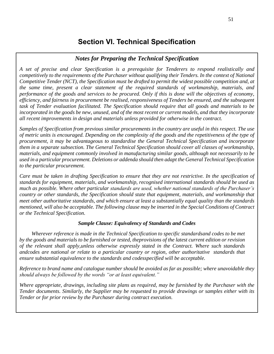## <span id="page-51-0"></span>**Section VI. Technical Specification**

## *Notes for Preparing the Technical Specification*

*A set of precise and clear Specification is a prerequisite for Tenderers to respond realistically and competitively to the requirements of the Purchaser without qualifying their Tenders. In the context of National Competitive Tender (NCT), the Specification must be drafted to permit the widest possible competition and, at the same time, present a clear statement of the required standards of workmanship, materials, and performance of the goods and services to be procured. Only if this is done will the objectives of economy, efficiency, and fairness in procurement be realised, responsiveness of Tenders be ensured, and the subsequent task of Tender evaluation facilitated. The Specification should require that all goods and materials to be incorporated in the goods be new, unused, and of the most recent or current models, and that they incorporate all recent improvements in design and materials unless provided for otherwise in the contract.*

*Samples of Specification from previous similar procurements in the country are useful in this respect. The use of metric units is encouraged. Depending on the complexity of the goods and the repetitiveness of the type of procurement, it may be advantageous to standardise the General Technical Specification and incorporate them in a separate subsection. The General Technical Specification should cover all classes of workmanship, materials, and equipment commonly involved in manufacturing similar goods, although not necessarily to be used in a particular procurement. Deletions or addenda should then adapt the General Technical Specification to the particular procurement.* 

*Care must be taken in drafting Specification to ensure that they are not restrictive. In the specification of standards for equipment, materials, and workmanship, recognised international standards should be used as much as possible. Where other particular standards are used, whether national standards of the Purchaser's country or other standards, the Specification should state that equipment, materials, and workmanship that meet other authoritative standards, and which ensure at least a substantially equal quality than the standards mentioned, will also be acceptable. The following clause may be inserted in the Special Conditions of Contract or the Technical Specification.*

## *Sample Clause: Equivalency of Standards and Codes*

*Wherever reference is made in the Technical Specification to specific standardsand codes to be met by the goods and materials to be furnished or tested, theprovisions of the latest current edition or revision of the relevant shall apply,unless otherwise expressly stated in the Contract. Where such standards andcodes are national or relate to a particular country or region, other authoritative standards that ensure substantial equivalence to the standards and codesspecified will be acceptable.*

*Reference to brand name and catalogue number should be avoided as far as possible; where unavoidable they should always be followed by the words "or at least equivalent."* 

*Where appropriate, drawings, including site plans as required, may be furnished by the Purchaser with the Tender documents. Similarly, the Supplier may be requested to provide drawings or samples either with its Tender or for prior review by the Purchaser during contract execution.*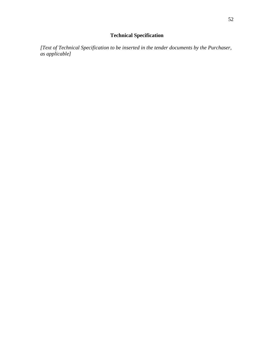## **Technical Specification**

<span id="page-52-0"></span>*[Text of Technical Specification to be inserted in the tender documents by the Purchaser, as applicable]*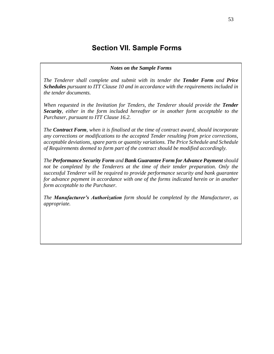## **Section VII. Sample Forms**

#### *Notes on the Sample Forms*

<span id="page-53-0"></span>*The Tenderer shall complete and submit with its tender the Tender Form and Price Schedules pursuant to ITT Clause 10 and in accordance with the requirements included in the tender documents.*

*When requested in the Invitation for Tenders, the Tenderer should provide the Tender Security, either in the form included hereafter or in another form acceptable to the Purchaser, pursuant to ITT Clause 16.2.*

*The Contract Form, when it is finalised at the time of contract award, should incorporate any corrections or modifications to the accepted Tender resulting from price corrections, acceptable deviations, spare parts or quantity variations. The Price Schedule and Schedule of Requirements deemed to form part of the contract should be modified accordingly.*

*The Performance Security Form and Bank Guarantee Form for Advance Payment should not be completed by the Tenderers at the time of their tender preparation. Only the successful Tenderer will be required to provide performance security and bank guarantee for advance payment in accordance with one of the forms indicated herein or in another form acceptable to the Purchaser.*

*The Manufacturer's Authorization form should be completed by the Manufacturer, as appropriate.*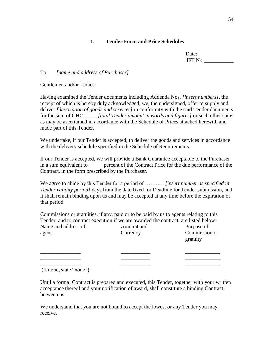## **1. Tender Form and Price Schedules**

| Date: _              |  |
|----------------------|--|
| IFT N <sub>o</sub> : |  |

## <span id="page-54-0"></span>To: *[name and address of Purchaser]*

Gentlemen and/or Ladies:

Having examined the Tender documents including Addenda Nos. *[insert numbers],* the receipt of which is hereby duly acknowledged, we, the undersigned, offer to supply and deliver *[description of goods and services]* in conformity with the said Tender documents for the sum of GHC\_\_\_\_\_ *[total Tender amount in words and figures]* or such other sums as may be ascertained in accordance with the Schedule of Prices attached herewith and made part of this Tender.

We undertake, if our Tender is accepted, to deliver the goods and services in accordance with the delivery schedule specified in the Schedule of Requirements.

If our Tender is accepted, we will provide a Bank Guarantee acceptable to the Purchaser in a sum equivalent to energy percent of the Contract Price for the due performance of the Contract, in the form prescribed by the Purchaser.

We agree to abide by this Tender for a period of ……….. *[insert number as specified in Tender validity period]* days from the date fixed for Deadline for Tender submission, and it shall remain binding upon us and may be accepted at any time before the expiration of that period.

Commissions or gratuities, if any, paid or to be paid by us to agents relating to this Tender, and to contract execution if we are awarded the contract, are listed below: Name and address of Amount and Purpose of agent Currency Commission or gratuity

 $\overline{\phantom{a}}$  , and the contract of the contract of the contract of the contract of the contract of the contract of the contract of the contract of the contract of the contract of the contract of the contract of the contrac  $\frac{1}{2}$  ,  $\frac{1}{2}$  ,  $\frac{1}{2}$  ,  $\frac{1}{2}$  ,  $\frac{1}{2}$  ,  $\frac{1}{2}$  ,  $\frac{1}{2}$  ,  $\frac{1}{2}$  ,  $\frac{1}{2}$  ,  $\frac{1}{2}$  ,  $\frac{1}{2}$  ,  $\frac{1}{2}$  ,  $\frac{1}{2}$  ,  $\frac{1}{2}$  ,  $\frac{1}{2}$  ,  $\frac{1}{2}$  ,  $\frac{1}{2}$  ,  $\frac{1}{2}$  ,  $\frac{1$  $\frac{1}{2}$  ,  $\frac{1}{2}$  ,  $\frac{1}{2}$  ,  $\frac{1}{2}$  ,  $\frac{1}{2}$  ,  $\frac{1}{2}$  ,  $\frac{1}{2}$  ,  $\frac{1}{2}$  ,  $\frac{1}{2}$  ,  $\frac{1}{2}$  ,  $\frac{1}{2}$  ,  $\frac{1}{2}$  ,  $\frac{1}{2}$  ,  $\frac{1}{2}$  ,  $\frac{1}{2}$  ,  $\frac{1}{2}$  ,  $\frac{1}{2}$  ,  $\frac{1}{2}$  ,  $\frac{1$ 

(if none, state "none")

Until a formal Contract is prepared and executed, this Tender, together with your written acceptance thereof and your notification of award, shall constitute a binding Contract between us.

We understand that you are not bound to accept the lowest or any Tender you may receive.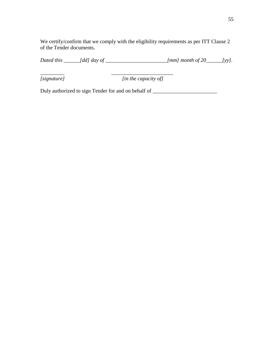We certify/confirm that we comply with the eligibility requirements as per ITT Clause 2 of the Tender documents.

*Dated this \_\_\_\_\_\_[dd] day of \_\_\_\_\_\_\_\_\_\_\_\_\_\_\_\_\_\_\_\_\_\_\_[mm] month of 20\_\_\_\_\_\_[yy].*

*\_\_\_\_\_\_\_\_\_ \_\_\_\_\_\_\_\_\_\_\_\_\_\_\_\_\_\_\_\_\_\_\_*

*[signature] [in the capacity of]*

Duly authorized to sign Tender for and on behalf of \_\_\_\_\_\_\_\_\_\_\_\_\_\_\_\_\_\_\_\_\_\_\_\_\_\_\_\_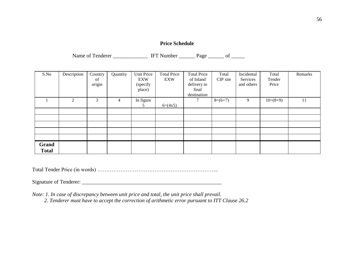## **Price Schedule**

Name of Tenderer \_\_\_\_\_\_\_\_\_\_\_\_\_\_\_\_ IFT Number \_\_\_\_\_\_\_ Page \_\_\_\_\_\_ of \_\_\_\_\_\_

| S.No         | Description | Country<br>of<br>origin | Quantity       | Unit Price<br>EXW<br>(specify | <b>Total Price</b><br>EXW | <b>Total Price</b><br>of Inland<br>delivery to | Total<br>CIP site | Incidental<br>Services<br>and others | Total<br>Tender<br>Price | Remarks |
|--------------|-------------|-------------------------|----------------|-------------------------------|---------------------------|------------------------------------------------|-------------------|--------------------------------------|--------------------------|---------|
|              |             |                         |                | place)                        |                           | final                                          |                   |                                      |                          |         |
|              | 2           | 3                       | $\overline{4}$ | In figure                     |                           | destination<br>7                               | $8=(6+7)$         | 9                                    | $10=(8+9)$               | 11      |
|              |             |                         |                | 5                             | $6=(4x5)$                 |                                                |                   |                                      |                          |         |
|              |             |                         |                |                               |                           |                                                |                   |                                      |                          |         |
|              |             |                         |                |                               |                           |                                                |                   |                                      |                          |         |
|              |             |                         |                |                               |                           |                                                |                   |                                      |                          |         |
|              |             |                         |                |                               |                           |                                                |                   |                                      |                          |         |
|              |             |                         |                |                               |                           |                                                |                   |                                      |                          |         |
| Grand        |             |                         |                |                               |                           |                                                |                   |                                      |                          |         |
| <b>Total</b> |             |                         |                |                               |                           |                                                |                   |                                      |                          |         |

Total Tender Price (in words) …………………………………………………………..

Signature of Tenderer: \_\_\_\_\_\_\_\_\_\_\_\_\_\_\_\_\_\_\_\_\_\_\_\_\_\_\_\_\_\_\_\_\_\_\_\_\_\_\_\_\_\_\_\_\_\_\_\_\_\_\_\_

*Note: 1. In case of discrepancy between unit price and total, the unit price shall prevail.* 

 *2. Tenderer must have to accept the correction of arithmetic error pursuant to ITT Clause 26.2*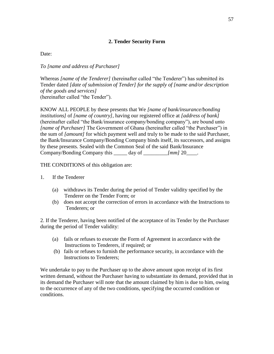## **2. Tender Security Form**

<span id="page-57-0"></span>Date:

*To [name and address of Purchaser]*

Whereas *[name of the Tenderer]* (hereinafter called "the Tenderer") has submitted its Tender dated *[date of submission of Tender] for the supply of [name and/or description of the goods and services]* (hereinafter called "the Tender").

KNOW ALL PEOPLE by these presents that We *[name of bank/insurance/bonding institutions]* of *[name of country]*, having our registered office at *[address of bank]*  (hereinafter called "the Bank/insurance company/bonding company"), are bound unto *[name of Purchaser]* The Government of Ghana (hereinafter called "the Purchaser") in the sum of *[amount]* for which payment well and truly to be made to the said Purchaser, the Bank/Insurance Company/Bonding Company binds itself, its successors, and assigns by these presents. Sealed with the Common Seal of the said Bank/Insurance Company/Bonding Company this \_\_\_\_\_ day of \_\_\_\_\_\_\_\_\_*[mm]* 20\_\_\_\_.

THE CONDITIONS of this obligation are:

- 1. If the Tenderer
	- (a) withdraws its Tender during the period of Tender validity specified by the Tenderer on the Tender Form; or
	- (b) does not accept the correction of errors in accordance with the Instructions to Tenderers; or

2. If the Tenderer, having been notified of the acceptance of its Tender by the Purchaser during the period of Tender validity:

- (a) fails or refuses to execute the Form of Agreement in accordance with the Instructions to Tenderers, if required; or
- (b) fails or refuses to furnish the performance security, in accordance with the Instructions to Tenderers;

We undertake to pay to the Purchaser up to the above amount upon receipt of its first written demand, without the Purchaser having to substantiate its demand, provided that in its demand the Purchaser will note that the amount claimed by him is due to him, owing to the occurrence of any of the two conditions, specifying the occurred condition or conditions.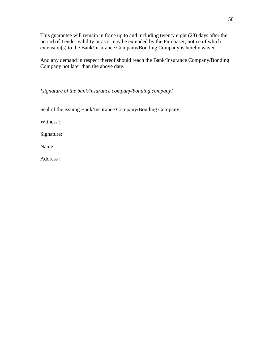This guarantee will remain in force up to and including twenty eight (28) days after the period of Tender validity or as it may be extended by the Purchaser, notice of which extension(s) to the Bank/Insurance Company/Bonding Company is hereby waved.

And any demand in respect thereof should reach the Bank/Insurance Company/Bonding Company not later than the above date.

*[signature of the bank/insurance company/bonding company]*

*\_\_\_\_\_\_\_\_\_\_\_\_\_\_\_\_\_\_\_\_\_\_\_\_\_\_\_\_\_\_\_\_\_\_\_\_\_\_\_\_\_\_\_\_\_\_\_\_\_\_\_\_*

Seal of the issuing Bank/Insurance Company/Bonding Company:

Witness :

Signature:

Name :

Address :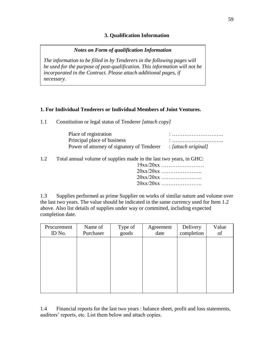## **3. Qualification Information**

## *Notes on Form of qualification Information*

<span id="page-59-0"></span>*The information to be filled in by Tenderers in the following pages will be used for the purpose of post-qualification. This information will not be incorporated in the Contract. Please attach additional pages, if necessary.*

## **1. For Individual Tenderers or Individual Members of Joint Ventures.**

1.1 Constitution or legal status of Tenderer *[attach copy]*

| Place of registration                      |                     |
|--------------------------------------------|---------------------|
| Principal place of business                |                     |
| Power of attorney of signatory of Tenderer | : [attach original] |

1.2 Total annual volume of supplies made in the last two years, in GHC:

| $19xx/20xx$ |  |  |
|-------------|--|--|
| $20xx/20xx$ |  |  |
| $20xx/20xx$ |  |  |
| $20xx/20xx$ |  |  |
|             |  |  |

1.3 Supplies performed as prime Supplier on works of similar nature and volume over the last two years. The value should be indicated in the same currency used for Item 1.2 above. Also list details of supplies under way or committed, including expected completion date.

| Procurement<br>ID No. | Name of<br>Purchaser | Type of<br>goods | Agreement<br>date | Delivery<br>completion | Value<br>of |
|-----------------------|----------------------|------------------|-------------------|------------------------|-------------|
|                       |                      |                  |                   |                        |             |
|                       |                      |                  |                   |                        |             |
|                       |                      |                  |                   |                        |             |
|                       |                      |                  |                   |                        |             |

1.4 Financial reports for the last two years : balance sheet, profit and loss statements, auditors' reports, etc. List them below and attach copies.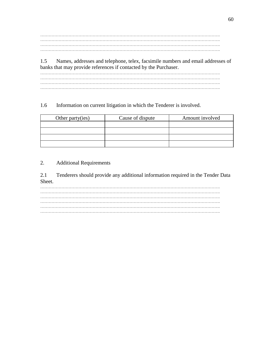………………………………………………………………………………………………………………. ………………………………………………………………………………………………………………. ………………………………………………………………………………………………………………. ……………………………………………………………………………………………………………….

1.5 Names, addresses and telephone, telex, facsimile numbers and email addresses of banks that may provide references if contacted by the Purchaser.

………………………………………………………………………………………………………………. ………………………………………………………………………………………………………………. ……………………………………………………………………………………………………………….

## 1.6 Information on current litigation in which the Tenderer is involved.

| Other party(ies) | Cause of dispute | Amount involved |
|------------------|------------------|-----------------|
|                  |                  |                 |
|                  |                  |                 |
|                  |                  |                 |
|                  |                  |                 |

## 2. Additional Requirements

2.1 Tenderers should provide any additional information required in the Tender Data Sheet.

………………………………………………………………………………………………………………. ………………………………………………………………………………………………………………. ………………………………………………………………………………………………………………. ………………………………………………………………………………………………………………. ………………………………………………………………………………………………………………. ……………………………………………………………………………………………………………….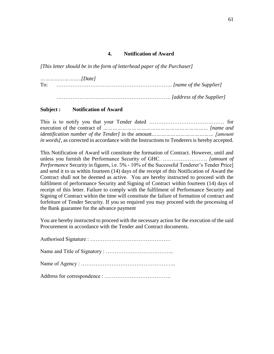## **4. Notification of Award**

<span id="page-61-0"></span>*[This letter should be in the form of letterhead paper of the Purchaser]*

*……………………..[Date]* To: ……………………………………………………….. *[name of the Supplier]* ………………………………………………………. *[address of the Supplier]*

#### **Subject : Notification of Award**

| <i>in words]</i> , as corrected in accordance with the Instructions to Tenderers is hereby accepted. |  |
|------------------------------------------------------------------------------------------------------|--|

This Notification of Award will constitute the formation of Contract. However, until and unless you furnish the Performance Security of GHC. ……………………. *[amount of Performance* Security in figures, i.e. 5% - 10% of the Successful Tenderer's Tender Price] and send it to us within fourteen (14) days of the receipt of this Notification of Award the Contract shall not be deemed as active. You are hereby instructed to proceed with the fulfilment of performance Security and Signing of Contract within fourteen (14) days of receipt of this letter. Failure to comply with the fulfilment of Performance Security and Signing of Contract within the time will constitute the failure of formation of contract and forfeiture of Tender Security. If you so required you may proceed with the processing of the Bank guarantee for the advance payment

You are hereby instructed to proceed with the necessary action for the execution of the said Procurement in accordance with the Tender and Contract documents.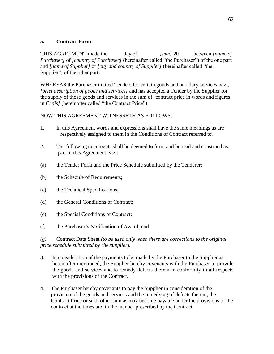## <span id="page-62-0"></span>**5. Contract Form**

THIS AGREEMENT made the \_\_\_\_\_ day of \_\_\_\_\_\_\_\_*[mm]* 20\_\_\_\_\_ between *[name of Purchaser]* of *[country of Purchaser]* (hereinafter called "the Purchaser") of the one part and *[name of Supplier]* of *[city and country of Supplier]* (hereinafter called "the Supplier") of the other part:

WHEREAS the Purchaser invited Tenders for certain goods and ancillary services, viz., *[brief description of goods and services]* and has accepted a Tender by the Supplier for the supply of those goods and services in the sum of [contract price in words and figures in *Cedis]* (hereinafter called "the Contract Price").

## NOW THIS AGREEMENT WITNESSETH AS FOLLOWS:

- 1. In this Agreement words and expressions shall have the same meanings as are respectively assigned to them in the Conditions of Contract referred to.
- 2. The following documents shall be deemed to form and be read and construed as part of this Agreement, viz.:
- (a) the Tender Form and the Price Schedule submitted by the Tenderer;
- (b) the Schedule of Requirements;
- (c) the Technical Specifications;
- (d) the General Conditions of Contract;
- (e) the Special Conditions of Contract;
- (f) the Purchaser's Notification of Award; and

*(g)* Contract Data Sheet *(to be used only when there are corrections to the original price schedule submitted by rhe supplier).*

- 3. In consideration of the payments to be made by the Purchaser to the Supplier as hereinafter mentioned, the Supplier hereby covenants with the Purchaser to provide the goods and services and to remedy defects therein in conformity in all respects with the provisions of the Contract.
- 4. The Purchaser hereby covenants to pay the Supplier in consideration of the provision of the goods and services and the remedying of defects therein, the Contract Price or such other sum as may become payable under the provisions of the contract at the times and in the manner prescribed by the Contract.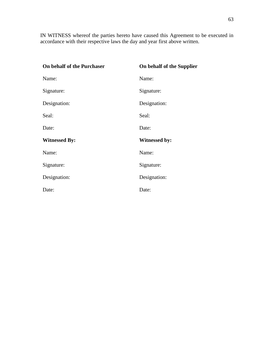IN WITNESS whereof the parties hereto have caused this Agreement to be executed in accordance with their respective laws the day and year first above written.

| On behalf of the Purchaser | On behalf of the Supplier |
|----------------------------|---------------------------|
| Name:                      | Name:                     |
| Signature:                 | Signature:                |
| Designation:               | Designation:              |
| Seal:                      | Seal:                     |
| Date:                      | Date:                     |
| <b>Witnessed By:</b>       | <b>Witnessed by:</b>      |
| Name:                      | Name:                     |
| Signature:                 | Signature:                |
| Designation:               | Designation:              |
| Date:                      | Date:                     |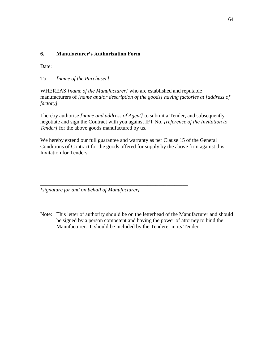## <span id="page-64-0"></span>**6. Manufacturer's Authorization Form**

Date:

To: *[name of the Purchaser]*

WHEREAS *[name of the Manufacturer]* who are established and reputable manufacturers of *[name and/or description of the goods] having factories at [address of factory]*

I hereby authorise *[name and address of Agent]* to submit a Tender, and subsequently negotiate and sign the Contract with you against IFT No. *[reference of the Invitation to Tender]* for the above goods manufactured by us.

We hereby extend our full guarantee and warranty as per Clause 15 of the General Conditions of Contract for the goods offered for supply by the above firm against this Invitation for Tenders.

*[signature for and on behalf of Manufacturer]*

*\_\_\_\_\_\_\_\_\_\_\_\_\_\_\_\_\_\_\_\_\_\_\_\_\_\_\_\_\_\_\_\_\_\_\_\_\_\_\_\_\_\_\_\_\_\_\_\_\_\_\_\_\_\_\_*

Note: This letter of authority should be on the letterhead of the Manufacturer and should be signed by a person competent and having the power of attorney to bind the Manufacturer. It should be included by the Tenderer in its Tender.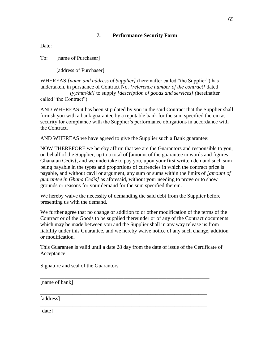## **7. Performance Security Form**

<span id="page-65-0"></span>Date:

To: [name of Purchaser]

[address of Purchaser]

WHEREAS *[name and address of Supplier]* (hereinafter called "the Supplier") has undertaken, in pursuance of Contract No. *[reference number of the contract]* dated \_\_\_\_\_\_\_\_\_\_\_*[yy/mm/dd]* to supply *[description of goods and services] (*hereinafter called "the Contract").

AND WHEREAS it has been stipulated by you in the said Contract that the Supplier shall furnish you with a bank guarantee by a reputable bank for the sum specified therein as security for compliance with the Supplier's performance obligations in accordance with the Contract.

AND WHEREAS we have agreed to give the Supplier such a Bank guarantee:

NOW THEREFORE we hereby affirm that we are the Guarantors and responsible to you, on behalf of the Supplier, up to a total of [amount of the guarantee in words and figures Ghanaian Cedis*],* and we undertake to pay you, upon your first written demand such sum being payable in the types and proportions of currencies in which the contract price is payable, and without cavil or argument, any sum or sums within the limits of *[amount of guarantee in Ghana Cedis]* as aforesaid, without your needing to prove or to show grounds or reasons for your demand for the sum specified therein.

We hereby waive the necessity of demanding the said debt from the Supplier before presenting us with the demand.

We further agree that no change or addition to or other modification of the terms of the Contract or of the Goods to be supplied thereunder or of any of the Contract documents which may be made between you and the Supplier shall in any way release us from liability under this Guarantee, and we hereby waive notice of any such change, addition or modification.

This Guarantee is valid until a date 28 day from the date of issue of the Certificate of Acceptance.

\_\_\_\_\_\_\_\_\_\_\_\_\_\_\_\_\_\_\_\_\_\_\_\_\_\_\_\_\_\_\_\_\_\_\_\_\_\_\_\_\_\_\_\_\_\_\_\_\_\_\_\_\_\_\_\_\_\_\_\_\_\_\_

\_\_\_\_\_\_\_\_\_\_\_\_\_\_\_\_\_\_\_\_\_\_\_\_\_\_\_\_\_\_\_\_\_\_\_\_\_\_\_\_\_\_\_\_\_\_\_\_\_\_\_\_\_\_\_\_\_\_\_\_\_\_

\_\_\_\_\_\_\_\_\_\_\_\_\_\_\_\_\_\_\_\_\_\_\_\_\_\_\_\_\_\_\_\_\_\_\_\_\_\_\_\_\_\_\_\_\_\_\_\_\_\_\_\_\_\_\_\_\_\_\_\_\_\_

Signature and seal of the Guarantors

[name of bank]

[address]

[date]